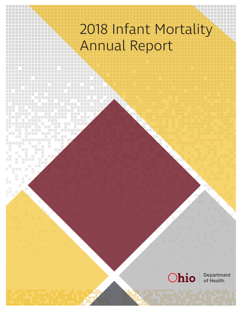## 2018 Infant Mortality Annual Report



**Department** of Health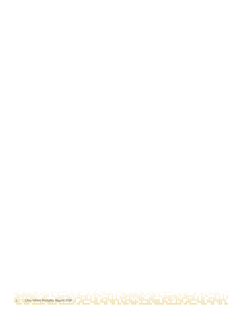T T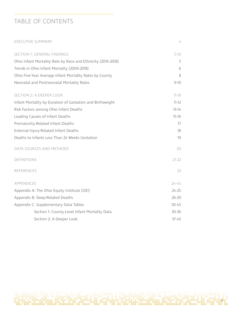## TABLE OF CONTENTS

| EXECUTIVE SUMMARY                                            | 4         |
|--------------------------------------------------------------|-----------|
| <b>SECTION 1: GENERAL FINDINGS</b>                           | $5-10$    |
| Ohio Infant Mortality Rate by Race and Ethnicity (2016-2018) | 5         |
| Trends in Ohio Infant Mortality (2009-2018)                  | 6         |
| Ohio Five-Year Average Infant Mortality Rates by County      | 8         |
| Neonatal and Postneonatal Mortality Rates                    | $9 - 10$  |
| SECTION 2: A DEEPER LOOK                                     | $11 - 19$ |
| Infant Mortality by Duration of Gestation and Birthweight    | $11-12$   |
| Risk Factors among Ohio Infant Deaths                        | $13-14$   |
| Leading Causes of Infant Deaths                              | $15 - 16$ |
| Prematurity-Related Infant Deaths                            | 17        |
| External Injury-Related Infant Deaths                        | 18        |
| Deaths to Infants Less Than 24 Weeks Gestation               | 19        |
| DATA SOURCES AND METHODS                                     | 20        |
| <b>DEFINITIONS</b>                                           | $21 - 22$ |
| <b>REFERENCES</b>                                            | 23        |
| <b>APPENDICES</b>                                            | $24 - 45$ |
| Appendix A: The Ohio Equity Institute (OEI)                  | $24 - 25$ |
| Appendix B: Sleep-Related Deaths                             | $26 - 29$ |
| Appendix C: Supplementary Data Tables                        | 30-45     |
| Section 1: County-Level Infant Mortality Data                | 30-36     |
| Section 2: A Deeper Look                                     | 37-45     |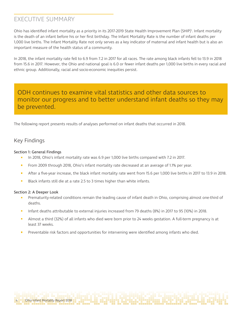## EXECUTIVE SUMMARY

Ohio has identified infant mortality as a priority in its 2017-2019 State Health Improvement Plan (SHIP)'. Infant mortality is the death of an infant before his or her first birthday. The Infant Mortality Rate is the number of infant deaths per 1,000 live births. The Infant Mortality Rate not only serves as a key indicator of maternal and infant health but is also an important measure of the health status of a community.

In 2018, the infant mortality rate fell to 6.9 from 7.2 in 2017 for all races. The rate among black infants fell to 13.9 in 2018 from 15.6 in 2017. However, the Ohio and national goal is 6.0 or fewer infant deaths per 1,000 live births in every racial and ethnic group. Additionally, racial and socio-economic inequities persist.

### ODH continues to examine vital statistics and other data sources to monitor our progress and to better understand infant deaths so they may be prevented.

The following report presents results of analyses performed on infant deaths that occurred in 2018.

### Key Findings

#### Section 1: General Findings

- É In 2018, Ohio's infant mortality rate was 6.9 per 1,000 live births compared with 7.2 in 2017.
- Ľ From 2009 through 2018, Ohio's infant mortality rate decreased at an average of 1.1% per year.
- After a five-year increase, the black infant mortality rate went from 15.6 per 1,000 live births in 2017 to 13.9 in 2018. Ē.
- Black infants still die at a rate 2.5 to 3 times higher than white infants. Ē

#### Section 2: A Deeper Look

- Prematurity-related conditions remain the leading cause of infant death in Ohio, comprising almost one-third of u, deaths.
- Infant deaths attributable to external injuries increased from 79 deaths (8%) in 2017 to 95 (10%) in 2018.
- Almost a third (32%) of all infants who died were born prior to 24 weeks gestation. A full-term pregnancy is at É least 37 weeks.
- Preventable risk factors and opportunities for intervening were identified among infants who died.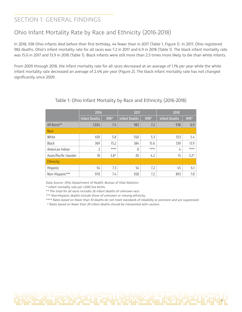## Ohio Infant Mortality Rate by Race and Ethnicity (2016-2018)

In 2018, 938 Ohio infants died before their first birthday, 44 fewer than in 2017 (Table 1, Figure 1). In 2017, Ohio registered 982 deaths. Ohio's infant mortality rate for all races was 7.2 in 2017 and 6.9 in 2018 (Table 1). The black infant mortality rate was 15.6 in 2017 and 13.9 in 2018 (Table 1). Black infants were still more than 2.5 times more likely to die than white infants.

From 2009 through 2018, the infant mortality rate for all races decreased at an average of 1.1% per year while the white infant mortality rate decreased an average of 2.4% per year (Figure 2). The black infant mortality rate has not changed significantly since 2009.

|                        | 2016                 |               | 2017                 |       | 2018                 |               |  |
|------------------------|----------------------|---------------|----------------------|-------|----------------------|---------------|--|
|                        | <b>Infant Deaths</b> | IMR*          | <b>Infant Deaths</b> | IMR*  | <b>Infant Deaths</b> | IMR*          |  |
| All Races**            | 1,024                | 7.4           | 982                  | 7.2   | 938                  | 6.9           |  |
| Race                   |                      |               |                      |       |                      |               |  |
| White                  | 610                  | 5.8           | 550                  | 5.3   | 553                  | 5.4           |  |
| <b>Black</b>           | 369                  | 15.2          | 384                  | 15.6  | 339                  | 13.9          |  |
| American Indian        | 2                    | $***$         | $\theta$             | $***$ | 4                    | $***$         |  |
| Asian/Pacific Islander | 18                   | $3.8^{\circ}$ | 20                   | 4.2   | 15                   | $3.2^{\circ}$ |  |
| Ethnicity              |                      |               |                      |       |                      |               |  |
| Hispanic               | 54                   | 7.3           | 54                   | 7.2   | 45                   | 6.1           |  |
| Non-Hispanic***        | 970                  | 7.4           | 928                  | 7.2   | 893                  | 7.0           |  |

#### Table 1: Ohio Infant Mortality by Race and Ethnicity (2016-2018)

Data Source: Ohio Department of Health, Bureau of Vital Statistics

\* Infant mortality rate per 1,000 live births.

\*\* The total for all races includes 26 infant deaths of unknown race.

\*\*\* Non-Hispanic deaths include those of unknown or missing ethnicity.

\*\*\*\* Rates based on fewer than 10 deaths do not meet standards of reliability or precision and are suppressed.

^ Rates based on fewer than 20 infant deaths should be interpreted with caution.

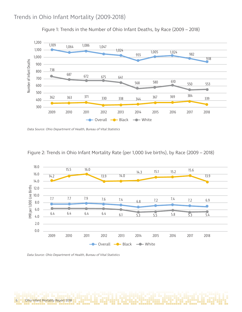### Trends in Ohio Infant Mortality (2009-2018)



Figure 1: Trends in the Number of Ohio Infant Deaths, by Race (2009 – 2018)

Data Source: Ohio Department of Health, Bureau of Vital Statistics





Data Source: Ohio Department of Health, Bureau of Vital Statistics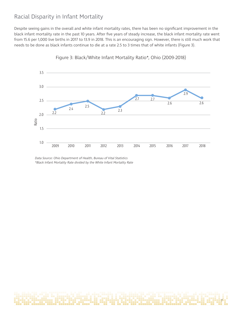### Racial Disparity in Infant Mortality

Despite seeing gains in the overall and white infant mortality rates, there has been no significant improvement in the black infant mortality rate in the past 10 years. After five years of steady increase, the black infant mortality rate went from 15.6 per 1,000 live births in 2017 to 13.9 in 2018. This is an encouraging sign. However, there is still much work that needs to be done as black infants continue to die at a rate 2.5 to 3 times that of white infants (Figure 3).



Figure 3: Black/White Infant Mortality Ratio\*, Ohio (2009-2018)

Data Source: Ohio Department of Health, Bureau of Vital Statistics \*Black Infant Mortality Rate divided by the White Infant Mortality Rate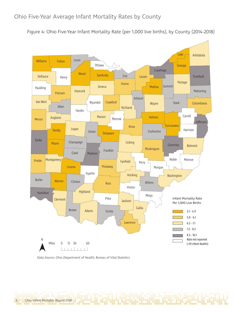

Figure 4: Ohio Five-Year Infant Mortality Rate (per 1,000 live births), by County (2014-2018)

Data Source: Ohio Department of Health, Bureau of Vital Statistics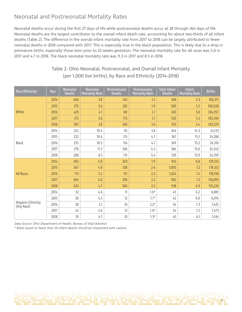## Neonatal and Postneonatal Mortality Rates

Neonatal deaths occur during the first 27 days of life while postneonatal deaths occur at 28 through 364 days of life. Neonatal deaths are the largest contributor to the overall infant death rate, accounting for about two-thirds of all infant deaths (Table 2). The difference in the overall infant mortality rate from 2017 to 2018 can be largely attributed to fewer neonatal deaths in 2018 compared with 2017. This is especially true in the black population. This is likely due to a drop in premature births, especially those born prior to 23 weeks gestation. The neonatal mortality rate for all races was 5.0 in 2017 and 4.7 in 2018. The black neonatal mortality rate was 11.3 in 2017 and 8.5 in 2018.

### Table 2: Ohio Neonatal, Postneonatal, and Overall Infant Mortality (per 1,000 live births), by Race and Ethnicity (2014-2018)

| Race/Ethnicity                   | Year | <b>Neonatal</b><br><b>Deaths</b> | <b>Neonatal</b><br><b>Mortality Rate</b> | Postneonatal<br><b>Deaths</b> | Postneonatal<br><b>Mortality Rate</b> | <b>Total Infant</b><br><b>Deaths</b> | <b>Infant</b><br><b>Mortality Rate</b> | <b>Births</b> |
|----------------------------------|------|----------------------------------|------------------------------------------|-------------------------------|---------------------------------------|--------------------------------------|----------------------------------------|---------------|
|                                  | 2014 | 406                              | 3.8                                      | 162                           | 1.5                                   | 568                                  | 5.3                                    | 106,371       |
|                                  | 2015 | 379                              | 3.6                                      | 201                           | 1.9                                   | 580                                  | 5.5                                    | 106,028       |
| White                            | 2016 | 429                              | 4.1                                      | 181                           | 1.7                                   | 610                                  | 5.8                                    | 104,957       |
|                                  | 2017 | 375                              | 3.6                                      | 175                           | 1.7                                   | 550                                  | 5.3                                    | 103,709       |
|                                  | 2018 | 393                              | 3.8                                      | 160                           | 1.6                                   | 553                                  | 5.4                                    | 102,570       |
|                                  | 2014 | 252                              | 10.4                                     | 92                            | 3.8                                   | 344                                  | 14.3                                   | 24,133        |
|                                  | 2015 | 252                              | 10.4                                     | 115                           | 4.7                                   | 367                                  | 15.1                                   | 24,288        |
| Black                            | 2016 | 255                              | 10.5                                     | 114                           | 4.7                                   | 369                                  | 15.2                                   | 24,316        |
|                                  | 2017 | 278                              | 11.3                                     | 106                           | 4.3                                   | 384                                  | 15.6                                   | 24,542        |
|                                  | 2018 | 208                              | 8.5                                      | 131                           | 5.4                                   | 339                                  | 13.9                                   | 24,359        |
|                                  | 2014 | 692                              | 5.0                                      | 263                           | 1.9                                   | 955                                  | 6.8                                    | 139,514       |
|                                  | 2015 | 667                              | 4.8                                      | 338                           | 2.4                                   | 1,005                                | 7.2                                    | 139,312       |
| <b>All Races</b>                 | 2016 | 713                              | 5.2                                      | 311                           | 2.3                                   | 1,024                                | 7.4                                    | 138,198       |
|                                  | 2017 | 684                              | 5.0                                      | 298                           | 2.2                                   | 982                                  | 7.2                                    | 136,895       |
|                                  | 2018 | 632                              | 4.7                                      | 306                           | 2.3                                   | 938                                  | 6.9                                    | 135,226       |
|                                  | 2014 | 32                               | 4.6                                      | 11                            | $1.6*$                                | 43                                   | 6.2                                    | 6,885         |
|                                  | 2015 | 30                               | 4.3                                      | 12                            | $1.7*$                                | 42                                   | 6.0                                    | 6,974         |
| Hispanic Ethnicity<br>(Any Race) | 2016 | 38                               | 5.1                                      | 16                            | $2.2*$                                | 54                                   | 7.3                                    | 7,425         |
|                                  | 2017 | 42                               | 5.6                                      | 12                            | $1.6*$                                | 54                                   | 7.2                                    | 7,473         |
|                                  | 2018 | 35                               | 4.7                                      | 10                            | $1.3*$                                | 45                                   | 6.1                                    | 7,434         |

9

Data Source: Ohio Department of Health, Bureau of Vital Statistics

\* Rates based on fewer than 20 infant deaths should be interpreted with caution.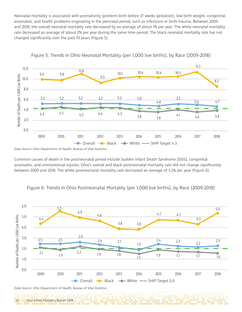Neonatal mortality is associated with prematurity (preterm birth before 37 weeks gestation), low birth weight, congenital anomalies, and health problems originating in the perinatal period, such as infections or birth trauma. Between 2009 and 2018, the overall neonatal mortality rate decreased by an average of about 1% per year. The white neonatal mortality rate decreased an average of about 2% per year during the same time period. The black neonatal mortality rate has not changed significantly over the past 10 years (Figure 5).



Figure 5: Trends in Ohio Neonatal Mortality (per 1,000 live births), by Race (2009-2018)

Data Source: Ohio Department of Health, Bureau of Vital Statistics

Common causes of death in the postneonatal period include Sudden Infant Death Syndrome (SIDS), congenital anomalies, and unintentional injuries. Ohio's overall and black postneonatal mortality rate did not change significantly between 2009 and 2018. The white postneonatal mortality rate decreased an average of 3.2% per year (Figure 6).





Data Source: Ohio Department of Health, Bureau of Vital Statistics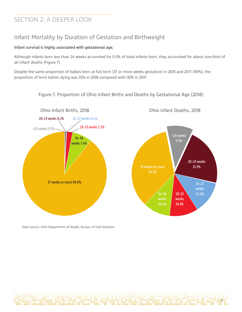## SECTION 2: A DEEPER LOOK

## Infant Mortality by Duration of Gestation and Birthweight

#### Infant survival is highly associated with gestational age.

Although infants born less than 24 weeks accounted for 0.3% of total infants born, they accounted for about one-third of all infant deaths (Figure 7).

Despite the same proportion of babies born at full term (37 or more weeks gestation) in 2018 and 2017 (90%), the proportion of term babies dying was 35% in 2018 compared with 30% in 2017.





Data Source: Ohio Department of Health, Bureau of Vital Statistics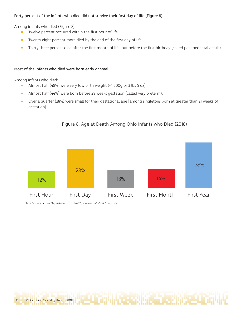#### Forty percent of the infants who died did not survive their first day of life (Figure 8).

Among infants who died (Figure 8):

- Ē. Twelve percent occurred within the first hour of life.
- Ē, Twenty-eight percent more died by the end of the first day of life.
- Thirty-three percent died after the first month of life, but before the first birthday (called post-neonatal death). Ē,

#### Most of the infants who died were born early or small.

Among infants who died:

- Almost half (48%) were very low birth weight (<1,500g or 3 lbs 5 oz). n,
- Almost half (44%) were born before 28 weeks gestation (called very preterm).  $\Box$
- ň Over a quarter (28%) were small for their gestational age [among singletons born at greater than 21 weeks of gestation].



Figure 8. Age at Death Among Ohio Infants who Died (2018)

Data Source: Ohio Department of Health, Bureau of Vital Statistics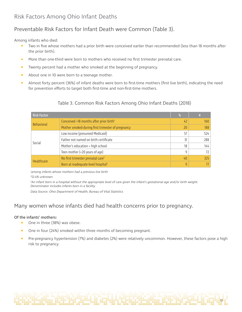## Risk Factors Among Ohio Infant Deaths

### Preventable Risk Factors for Infant Death were Common (Table 3).

Among infants who died:

- Two in five whose mothers had a prior birth were conceived earlier than recommended (less than 18 months after  $\mathbf{r}$ the prior birth).
- More than one-third were born to mothers who received no first trimester prenatal care. Ù,
- Twenty percent had a mother who smoked at the beginning of pregnancy. ш
- About one in 10 were born to a teenage mother. n.
- Almost forty percent (36%) of infant deaths were born to first-time mothers (first live birth), indicating the need ш for prevention efforts to target both first-time and non-first-time mothers.

### Table 3. Common Risk Factors Among Ohio Infant Deaths (2018)

| <b>Risk Factor</b> |                                                     | $\%$         | #   |
|--------------------|-----------------------------------------------------|--------------|-----|
| <b>Behavioral</b>  | Conceived <18 months after prior birth <sup>1</sup> | 42           | 160 |
|                    | Mother smoked during first trimester of pregnancy   | 20           | 188 |
|                    | Low income (presumed Medicaid)                      | 57           | 524 |
| Social             | Father not named on birth certificate               | 31           | 288 |
|                    | Mother's education < high school                    | 18           | 144 |
|                    | Teen mother (<20 years of age)                      | 9            | 72  |
|                    | No first trimester prenatal care <sup>2</sup>       | 40           | 325 |
| Healthcare         | Born at inadequate level hospital <sup>3</sup>      | $\mathsf{q}$ |     |

1 among infants whose mothers had a previous live birth

<sup>2</sup>12.4% unknown

3 An infant born in a hospital without the appropriate level of care given the infant's gestational age and/or birth weight. Denominator includes infants born in a facility.

Data Source: Ohio Department of Health, Bureau of Vital Statistics

### Many women whose infants died had health concerns prior to pregnancy.

#### Of the infants' mothers:

- Ĥ. One in three (38%) was obese.
- One in four (24%) smoked within three months of becoming pregnant. ш
- Pre-pregnancy hypertension (7%) and diabetes (2%) were relatively uncommon. However, these factors pose a high  $\blacksquare$ risk to pregnancy.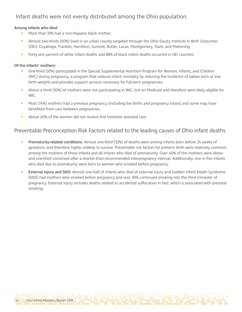### Infant deaths were not evenly distributed among the Ohio population.

#### Among infants who died:

- More than 33% had a non-Hispanic black mother.  $\blacksquare$
- Almost two-thirds (60%) lived in an urban county targeted through the Ohio Equity Institute in Birth Outcomes Ù, (OEI): Cuyahoga, Franklin, Hamilton, Summit, Butler, Lucas, Montgomery, Stark, and Mahoning.
- Forty-one percent of white infant deaths and 88% of black infant deaths occurred in OEI counties.  $\overline{\phantom{a}}$

#### Of the infants' mothers:

- One-third (33%) participated in the Special Supplemental Nutrition Program for Women, Infants, and Children (WIC) during pregnancy, a program that reduces infant mortality by reducing the incidence of babies born at low birth weights and provides support services necessary for full-term pregnancies.
- About a third (30%) of mothers were not participating in WIC, but on Medicaid and therefore were likely eligible for n, WIC.
- m. Most (74%) mothers had a previous pregnancy (including live births and pregnancy losses) and some may have benefited from care between pregnancies.
- About 40% of the women did not receive first trimester prenatal care. Ē.

### Preventable Preconception Risk Factors related to the leading causes of Ohio infant deaths

- Prematurity-related conditions: Almost one-third (32%) of deaths were among infants born before 24 weeks of Ù, gestation, and therefore highly unlikely to survive. Preventable risk factors for preterm birth were relatively common among the mothers of these infants and all infants who died of prematurity. Over 40% of the mothers were obese and one-third conceived after a shorter-than-recommended interpregnancy interval. Additionally, one in five infants who died due to prematurity were born to women who smoked before pregnancy.
- External injury and SIDS: Almost one half of infants who died of external injury and Sudden Infant Death Syndrome (SIDS) had mothers who smoked before pregnancy and over 30% continued smoking into the third trimester of pregnancy. External Injury includes deaths related to accidental suffocation in bed, which is associated with prenatal smoking.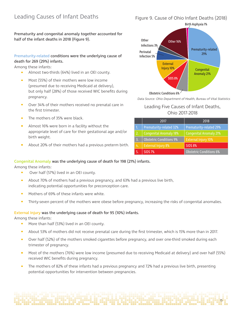## Leading Causes of Infant Deaths

Prematurity and congenital anomaly together accounted for half of the infant deaths in 2018 (Figure 9).

#### Prematurity-related conditions were the underlying cause of death for 269 (29%) infants.

Among these infants:

- Almost two-thirds (64%) lived in an OEI county.  $\blacksquare$
- Most (55%) of their mothers were low income (presumed due to receiving Medicaid at delivery), but only half (28%) of those received WIC benefits during pregnancy.
- Over 34% of their mothers received no prenatal care in п the first trimester.
- The mothers of 35% were black.  $\blacksquare$
- Almost 16% were born in a facility without the appropriate level of care for their gestational age and/or birth weight.
- About 20% of their mothers had a previous preterm birth.  $\blacksquare$

### Figure 9. Cause of Ohio Infant Deaths (2018)

Birth Asphyxia 1%



Obstetric Conditions 6%

Data Source: Ohio Department of Health, Bureau of Vital Statistics

### Leading Five Causes of Infant Deaths, Ohio 2017-2018

|                | 2017                           | 2018                           |
|----------------|--------------------------------|--------------------------------|
| $\mathbf{1}$ . | <b>Prematurity-related 32%</b> | <b>Prematurity-related 29%</b> |
| ا 2            | <b>Congenital Anomaly 18%</b>  | <b>Congenital Anomaly 21%</b>  |
| 3.             | <b>Obstetric Conditions 9%</b> | <b>External Injury 10%</b>     |
| 4.             | <b>External Injury 8%</b>      | <b>SIDS 8%</b>                 |
| 5.             | <b>SIDS 7%</b>                 | <b>Obstetric Conditions 6%</b> |

### Congenital Anomaly was the underlying cause of death for 198 (21%) infants.

Among these infants:

- $\blacksquare$ Over half (57%) lived in an OEI county.
- About 70% of mothers had a previous pregnancy, and 63% had a previous live birth,  $\mathbf{r}$ indicating potential opportunities for preconception care.
- Mothers of 69% of these infants were white. n.
- Thirty-seven percent of the mothers were obese before pregnancy, increasing the risks of congenital anomalies.  $\Box$

### External Injury was the underlying cause of death for 95 (10%) infants.

Among these infants:

- More than half (53%) lived in an OEI county.  $\mathbf{r}$
- About 53% of mothers did not receive prenatal care during the first trimester, which is 15% more than in 2017. n.
- Over half (52%) of the mothers smoked cigarettes before pregnancy, and over one-third smoked during each n, trimester of pregnancy.
- Ĥ. Most of the mothers (76%) were low income (presumed due to receiving Medicaid at delivery) and over half (55%) received WIC benefits during pregnancy.
- The mothers of 82% of these infants had a previous pregnancy and 72% had a previous live birth, presenting Ē. potential opportunities for intervention between pregnancies.

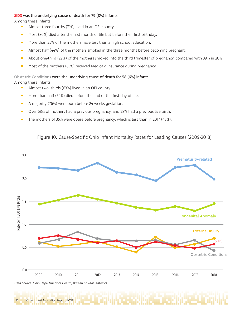#### SIDS was the underlying cause of death for 79 (8%) infants.

Among these infants:

- Almost three-fourths (71%) lived in an OEI county. n,
- Most (86%) died after the first month of life but before their first birthday.  $\blacksquare$
- More than 25% of the mothers have less than a high school education. n
- Almost half (44%) of the mothers smoked in the three months before becoming pregnant. п
- About one-third (29%) of the mothers smoked into the third trimester of pregnancy, compared with 39% in 2017. Ċ
- Most of the mothers (83%) received Medicaid insurance during pregnancy.  $\blacksquare$

#### Obstetric Conditions were the underlying cause of death for 58 (6%) infants.

Among these infants:

- Almost two- thirds (63%) lived in an OEI county. n,
- More than half (59%) died before the end of the first day of life. Ē,
- A majority (76%) were born before 24 weeks gestation. n.
- Over 68% of mothers had a previous pregnancy, and 58% had a previous live birth.  $\Box$
- The mothers of 35% were obese before pregnancy, which is less than in 2017 (48%). r





Data Source: Ohio Department of Health, Bureau of Vital Statistics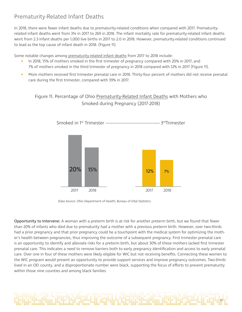## Prematurity-Related Infant Deaths

In 2018, there were fewer infant deaths due to prematurity-related conditions when compared with 2017. Prematurityrelated infant deaths went from 314 in 2017 to 269 in 2018. The infant mortality rate for prematurity-related infant deaths went from 2.3 infant deaths per 1,000 live births in 2017 to 2.0 in 2018. However, prematurity-related conditions continued to lead as the top cause of infant death in 2018. (Figure 11).

Some notable changes among prematurity-related infant deaths from 2017 to 2018 include:

- In 2018, 15% of mothers smoked in the first trimester of pregnancy compared with 20% in 2017, and  $\blacksquare$ 7% of mothers smoked in the third trimester of pregnancy in 2018 compared with 12% in 2017 (Figure 11).
- More mothers received first trimester prenatal care in 2018. Thirty-four percent of mothers did not receive prenatal  $\blacksquare$ care during the first trimester, compared with 39% in 2017.

### Figure 11. Percentage of Ohio Prematurity-Related Infant Deaths with Mothers who Smoked during Pregnancy (2017-2018)



Data Source: Ohio Department of Health, Bureau of Vital Statistics

Opportunity to Intervene: A woman with a preterm birth is at risk for another preterm birth, but we found that fewer than 20% of infants who died due to prematurity had a mother with a previous preterm birth. However, over two-thirds had a prior pregnancy and that prior pregnancy could be a touchpoint with the medical system for optimizing the mother's health between pregnancies, thus improving the outcome of a subsequent pregnancy. First trimester prenatal care is an opportunity to identify and alleviate risks for a preterm birth, but about 30% of these mothers lacked first trimester prenatal care. This indicates a need to remove barriers both to early pregnancy identification and access to early prenatal care. Over one in four of these mothers were likely eligible for WIC but not receiving benefits. Connecting these women to the WIC program would present an opportunity to provide support services and improve pregnancy outcomes. Two-thirds lived in an OEI county, and a disproportionate number were black, supporting the focus of efforts to prevent prematurity within those nine counties and among black families

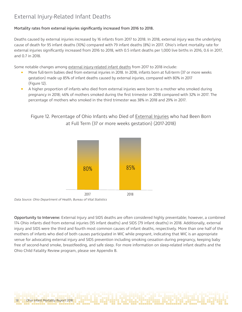## External Injury-Related Infant Deaths

#### Mortality rates from external injuries significantly increased from 2016 to 2018.

Deaths caused by external injuries increased by 16 infants from 2017 to 2018. In 2018, external injury was the underlying cause of death for 95 infant deaths (10%) compared with 79 infant deaths (8%) in 2017. Ohio's infant mortality rate for external injuries significantly increased from 2016 to 2018, with 0.5 infant deaths per 1,000 live births in 2016, 0.6 in 2017, and 0.7 in 2018.

Some notable changes among external injury-related infant deaths from 2017 to 2018 include:

- More full-term babies died from external injuries in 2018. In 2018, infants born at full-term (37 or more weeks  $\blacksquare$ gestation) made up 85% of infant deaths caused by external injuries, compared with 80% in 2017 (Figure 12).
- A higher proportion of infants who died from external injuries were born to a mother who smoked during n, pregnancy in 2018; 46% of mothers smoked during the first trimester in 2018 compared with 32% in 2017. The percentage of mothers who smoked in the third trimester was 38% in 2018 and 29% in 2017.

### Figure 12. Percentage of Ohio Infants who Died of External Injuries who had Been Born at Full Term (37 or more weeks gestation) (2017-2018)



Data Source: Ohio Department of Health, Bureau of Vital Statistics

18 **Ohio Infant Mortality Report 2018** 

Opportunity to Intervene: External Injury and SIDS deaths are often considered highly preventable; however, a combined 174 Ohio infants died from external injuries (95 infant deaths) and SIDS (79 infant deaths) in 2018. Additionally, external injury and SIDS were the third and fourth most common causes of infant deaths, respectively. More than one half of the mothers of infants who died of both causes participated in WIC while pregnant, indicating that WIC is an appropriate venue for advocating external injury and SIDS prevention including smoking cessation during pregnancy, keeping baby free of second-hand smoke, breastfeeding, and safe sleep. For more information on sleep-related infant deaths and the Ohio Child Fatality Review program, please see Appendix B.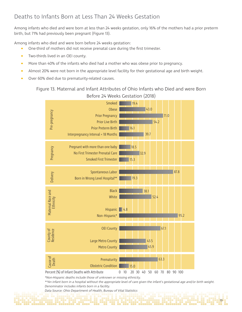### Deaths to Infants Born at Less Than 24 Weeks Gestation

Among infants who died and were born at less than 24 weeks gestation, only 16% of the mothers had a prior preterm birth, but 71% had previously been pregnant (Figure 13).

Among infants who died and were born before 24 weeks gestation:

- One-third of mothers did not receive prenatal care during the first trimester. Ù,
- Two-thirds lived in an OEI county. Ċ
- Ċ More than 40% of the infants who died had a mother who was obese prior to pregnancy.
- Almost 20% were not born in the appropriate level facility for their gestational age and birth weight. n,
- Over 60% died due to prematurity-related causes. п

Figure 13. Maternal and Infant Attributes of Ohio Infants who Died and were Born Before 24 Weeks Gestation (2018)



\*Non-Hispanic deaths include those of unknown or missing ethnicity.

\*\*An infant born in a hospital without the appropriate level of care given the infant's gestational age and/or birth weight. Denominator includes infants born in a facility.

19

Data Source: Ohio Department of Health, Bureau of Vital Statistics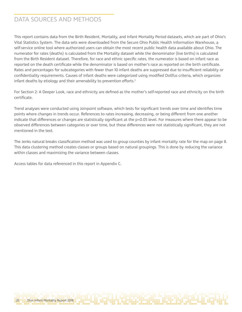## DATA SOURCES AND METHODS

This report contains data from the Birth Resident, Mortality, and Infant Mortality Period datasets, which are part of Ohio's Vital Statistics System. The data sets were downloaded from the Secure Ohio Public Health Information Warehouse, a self-service online tool where authorized users can obtain the most recent public health data available about Ohio. The numerator for rates (deaths) is calculated from the Mortality dataset while the denominator (live births) is calculated from the Birth Resident dataset. Therefore, for race and ethnic specific rates, the numerator is based on infant race as reported on the death certificate while the denominator is based on mother's race as reported on the birth certificate. Rates and percentages for subcategories with fewer than 10 infant deaths are suppressed due to insufficient reliability or confidentiality requirements. Causes of infant deaths were categorized using modified Dollfus criteria, which organizes infant deaths by etiology and their amenability to prevention efforts.<sup>3</sup>

For Section 2: A Deeper Look, race and ethnicity are defined as the mother's self-reported race and ethnicity on the birth certificate.

Trend analyses were conducted using Joinpoint software, which tests for significant trends over time and identifies time points where changes in trends occur. References to rates increasing, decreasing, or being different from one another indicate that differences or changes are statistically significant at the p<0.05 level. For measures where there appear to be observed differences between categories or over time, but these differences were not statistically significant, they are not mentioned in the text.

The Jenks natural breaks classification method was used to group counties by infant mortality rate for the map on page 8. This data clustering method creates classes or groups based on natural groupings. This is done by reducing the variance within classes and maximizing the variance between classes.

Access tables for data referenced in this report in Appendix C.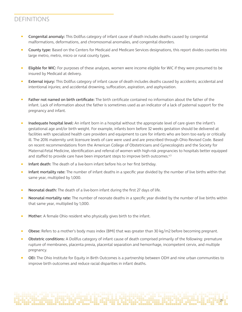## DEFINITIONS

- Congenital anomaly: This Dollfus category of infant cause of death includes deaths caused by congenital malformations, deformations, and chromosomal anomalies, and congenital disorders.
- County type: Based on the Centers for Medicaid and Medicare Services designations, this report divides counties into Ì. large metro, metro, micro or rural county types.
- Eligible for WIC: For purposes of these analyses, women were income eligible for WIC if they were presumed to be п insured by Medicaid at delivery.
- External injury: This Dollfus category of infant cause of death includes deaths caused by accidents; accidental and intentional injuries; and accidental drowning, suffocation, aspiration, and asphyxiation.
- Father not named on birth certificate: The birth certificate contained no information about the father of the infant. Lack of information about the father is sometimes used as an indicator of a lack of paternal support for the pregnancy and infant.
- Inadequate hospital level: An infant born in a hospital without the appropriate level of care given the infant's gestational age and/or birth weight. For example, infants born before 32 weeks gestation should be delivered at facilities with specialized health care providers and equipment to care for infants who are born too early or critically ill. The 2016 maternity unit licensure levels of care were used and are prescribed through Ohio Revised Code. Based on recent recommendations from the American College of Obstetricians and Gynecologists and the Society for Maternal-Fetal Medicine, identification and referral of women with high-risk pregnancies to hospitals better equipped and staffed to provide care have been important steps to improve birth outcomes.<sup>4,5</sup>
- Infant death: The death of a live-born infant before his or her first birthday.
- Infant mortality rate: The number of infant deaths in a specific year divided by the number of live births within that same year, multiplied by 1,000.
- Neonatal death: The death of a live-born infant during the first 27 days of life.
- Neonatal mortality rate: The number of neonate deaths in a specific year divided by the number of live births within п that same year, multiplied by 1,000.
- Mother: A female Ohio resident who physically gives birth to the infant.
- Obese: Refers to a mother's body mass index (BMI) that was greater than 30 kg/m2 before becoming pregnant. n
- Obstetric conditions: A Dollfus category of infant cause of death comprised primarily of the following: premature rupture of membranes, placenta previa, placental separation and hemorrhage, incompetent cervix, and multiple pregnancy.
- OEI: The Ohio Institute for Equity in Birth Outcomes is a partnership between ODH and nine urban communities to improve birth outcomes and reduce racial disparities in infant deaths.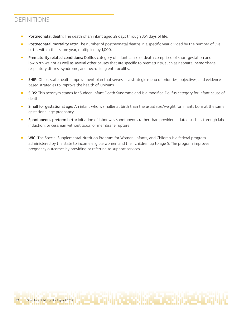## DEFINITIONS

- Postneonatal death: The death of an infant aged 28 days through 364 days of life.
- Postneonatal mortality rate: The number of postneonatal deaths in a specific year divided by the number of live п births within that same year, multiplied by 1,000.
- Prematurity-related conditions: Dollfus category of infant cause of death comprised of short gestation and n. low birth weight as well as several other causes that are specific to prematurity, such as neonatal hemorrhage, respiratory distress syndrome, and necrotizing enterocolitis.
- SHIP: Ohio's state health improvement plan that serves as a strategic menu of priorities, objectives, and evidencen, based strategies to improve the health of Ohioans.
- SIDS: This acronym stands for Sudden Infant Death Syndrome and is a modified Dollfus category for infant cause of n. death.
- Small for gestational age: An infant who is smaller at birth than the usual size/weight for infants born at the same gestational age pregnancy.
- Spontaneous preterm birth: Initiation of labor was spontaneous rather than provider initiated such as through labor n, induction, or cesarean without labor, or membrane rupture.
- WIC: The Special Supplemental Nutrition Program for Women, Infants, and Children is a federal program n. administered by the state to income eligible women and their children up to age 5. The program improves pregnancy outcomes by providing or referring to support services.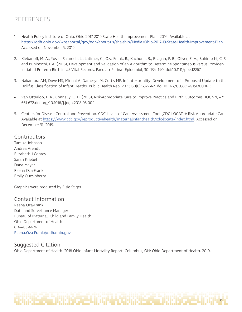## REFERENCES

- 1. Health Policy Institute of Ohio. Ohio 2017-2019 State Health Improvement Plan. 2016. Available at <https://odh.ohio.gov/wps/portal/gov/odh/about-us/sha-ship/Media/Ohio-2017-19-State-Health-Improvement-Plan>. Accessed on November 5, 2019.
- 2. Klebanoff, M. A., Yossef-Salameh, L., Latimer, C., Oza-Frank, R., Kachoria, R., Reagan, P. B., Oliver, E. A., Buhimschi, C. S. and Buhimschi, I. A. (2016), Development and Validation of an Algorithm to Determine Spontaneous versus Provider-Initiated Preterm Birth in US Vital Records. Paediatr Perinat Epidemiol, 30: 134–140. doi:10.1111/ppe.12267.
- 3. Nakamura AM, Dove MS, Minnal A, Damesyn M, Curtis MP. Infant Mortality: Development of a Proposed Update to the Dollfus Classification of Infant Deaths. Public Health Rep. 2015;130(6):632-642. doi:10.1177/003335491513000613.
- 4. Van Otterloo, L. R., Connelly, C. D. (2018), Risk-Appropriate Care to Improve Practice and Birth Outcomes. JOGNN, 47: 661-672.doi.org/10.1016/j.jogn.2018.05.004.
- 5. Centers for Disease Control and Prevention. CDC Levels of Care Assessment Tool (CDC LOCATe): Risk-Appropriate Care. Available at [https://www.cdc.gov/reproductivehealth/maternalinfanthealth/cdc-locate/index.html.](https://www.cdc.gov/reproductivehealth/maternalinfanthealth/cdc-locate/index.html) Accessed on December 31, 2019.

### Contributors

Tamika Johnson Andrea Arendt Elizabeth J Conrey Sarah Kriebel Dana Mayer Reena Oza-Frank Emily Quesinberry

Graphics were produced by Elsie Stiger.

### Contact Information

Reena Oza-Frank Data and Surveillance Manager Bureau of Maternal, Child and Family Health Ohio Department of Health 614-466-4626 [Reena.Oza-Frank@odh.ohio.gov](mailto:Reena.Oza-Frank%40odh.ohio.gov?subject=)

### Suggested Citation

Ohio Department of Health. 2018 Ohio Infant Mortality Report. Columbus, OH: Ohio Department of Health. 2019.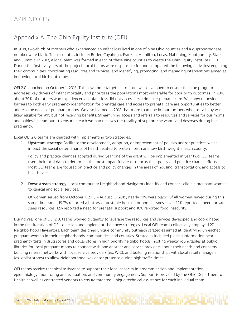## Appendix A: The Ohio Equity Institute (OEI)

In 2018, two-thirds of mothers who experienced an infant loss lived in one of nine Ohio counties and a disproportionate number were black. These counties include: Butler, Cuyahoga, Franklin, Hamilton, Lucas, Mahoning, Montgomery, Stark, and Summit. In 2013, a local team was formed in each of these nine counties to create the Ohio Equity Institute (OEI). During the first five years of the project, local teams were responsible for and completed the following activities: engaging their communities, coordinating resources and services, and identifying, promoting, and managing interventions aimed at improving local birth outcomes.

OEI 2.0 launched on October 1, 2018. This new, more targeted structure was developed to ensure that the program addresses key drivers of infant mortality and prioritizes the populations most vulnerable for poor birth outcomes. In 2018, about 30% of mothers who experienced an infant loss did not access first trimester prenatal care. We know removing barriers to both early pregnancy identification for prenatal care and access to prenatal care are opportunities to better address the needs of pregnant moms. We also learned in 2018 that more than one in four mothers who lost a baby was likely eligible for WIC but not receiving benefits. Streamlining access and referrals to resources and services for our moms and babies is paramount to ensuring each woman receives the totality of support she wants and deserves during her pregnancy.

Local OEI 2.0 teams are charged with implementing two strategies:

1. Upstream strategy: Facilitate the development, adoption, or improvement of policies and/or practices which impact the social determinants of health related to preterm birth and low birth weight in each county.

Policy and practice changes adopted during year one of the grant will be implemented in year two. OEI teams used their local data to determine the most impactful areas to focus their policy and practice change efforts. Most OEI teams are focused on practice and policy changes in the areas of housing, transportation, and access to health care.

2. Downstream strategy: Local community Neighborhood Navigators identify and connect eligible pregnant women to clinical and social services.

Of women served from October 1, 2018 – August 13, 2019, nearly 70% were black. Of all women served during this same timeframe, 19.7% reported a history of unstable housing or homelessness, over 14% reported a need for safe sleep resources, 12% reported a need for prenatal support and 10% reported food insecurity.

During year one of OEI 2.0, teams worked diligently to leverage the resources and services developed and coordinated in the first iteration of OEI to design and implement their new strategies. Local OEI teams collectively employed 27 Neighborhood Navigators. Each team designed unique community outreach strategies aimed at identifying unreached pregnant women in their neighborhoods, communities, and counties. Strategies included placing information near pregnancy tests in drug stores and dollar stores in high priority neighborhoods, hosting weekly roundtables at public libraries for local pregnant moms to connect with one another and service providers about their needs and concerns, building referral networks with local service providers (ex. WIC), and building relationships with local retail managers (ex. dollar stores) to allow Neighborhood Navigator presence during high-traffic times.

OEI teams receive technical assistance to support their local capacity in program design and implementation, epidemiology, monitoring and evaluation, and community engagement. Support is provided by the Ohio Department of Health as well as contracted vendors to ensure targeted, unique technical assistance for each individual team.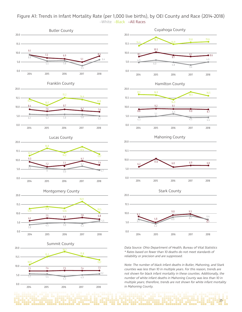







Data Source: Ohio Department of Health, Bureau of Vital Statistics \* Rates based on fewer than 10 deaths do not meet standards of reliability or precision and are suppressed.

Note: The number of black infant deaths in Butler, Mahoning, and Stark counties was less than 10 in multiple years. For this reason, trends are not shown for black infant mortality in these counties. Additionally, the number of white infant deaths in Mahoning County was less than 10 in multiple years; therefore, trends are not shown for white infant mortality in Mahoning County.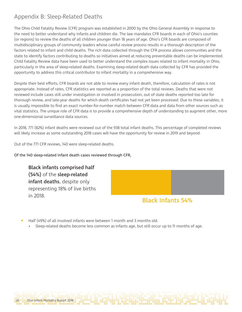## Appendix B: Sleep-Related Deaths

The Ohio Child Fatality Review (CFR) program was established in 2000 by the Ohio General Assembly in response to the need to better understand why infants and children die. The law mandates CFR boards in each of Ohio's counties (or regions) to review the deaths of all children younger than 18 years of age. Ohio's CFR boards are composed of multidisciplinary groups of community leaders whose careful review process results in a thorough description of the factors related to infant and child deaths. The rich data collected through the CFR process allows communities and the state to identify factors contributing to deaths so initiatives aimed at reducing preventable deaths can be implemented. Child Fatality Review data have been used to better understand the complex issues related to infant mortality in Ohio, particularly in the area of sleep-related deaths. Examining sleep-related death data collected by CFR has provided the opportunity to address this critical contributor to infant mortality in a comprehensive way.

Despite their best efforts, CFR boards are not able to review every infant death, therefore, calculation of rates is not appropriate. Instead of rates, CFR statistics are reported as a proportion of the total reviews. Deaths that were not reviewed include cases still under investigation or involved in prosecution, out of state deaths reported too late for thorough review, and late-year deaths for which death certificates had not yet been processed. Due to these variables, it is usually impossible to find an exact number-for-number match between CFR data and data from other sources such as vital statistics. The unique role of CFR data is to provide a comprehensive depth of understanding to augment other, more one-dimensional surveillance data sources.

In 2018, 771 (82%) infant deaths were reviewed out of the 938 total infant deaths. This percentage of completed reviews will likely increase as some outstanding 2018 cases will have the opportunity for review in 2019 and beyond.

Out of the 771 CFR reviews, 140 were sleep-related deaths.

Of the 140 sleep-related infant death cases reviewed through CFR,

Black infants comprised half (54%) of the sleep-related infant deaths, despite only representing 18% of live births in 2018.

## Black Infants 54%

- Half (49%) of all involved infants were between 1 month and 3 months old.
	- Sleep-related deaths become less common as infants age, but still occur up to 11 months of age.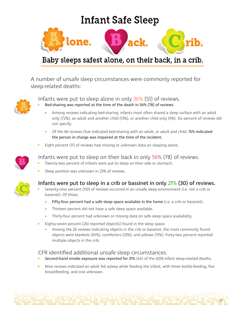## **Infant Safe Sleep**



## Baby sleeps safest alone, on their back, in a crib.

A number of unsafe sleep circumstances were commonly reported for sleep-related deaths:



- Infants were put to sleep alone in only 36% (51) of reviews. Bed-sharing was reported at the time of the death in 56% (78) of reviews.
	- Among reviews indicating bed-sharing, infants most often shared a sleep surface with an adult only (72%), an adult and another child (13%), or another child only (9%). Six percent of reviews did not specify.
	- Of the 66 reviews that indicated bed-sharing with an adult, or adult and child, 15% indicated the person in charge was impaired at the time of the incident.
- Eight percent (11) of reviews had missing or unknown data on sleeping alone.



Infants were put to sleep on their back in only 56% (78) of reviews.

- Twenty-two percent of infants were put to sleep on their side or stomach.
- Sleep position was unknown in 23% of reviews.



### Infants were put to sleep in a crib or bassinet in only 21% (30) of reviews.

- Seventy-nine percent (110) of reviews occurred in an unsafe sleep environment (i.e. not a crib or bassinet). Of those,
	- Fifty-four percent had a safe sleep space available in the home (i.e. a crib or bassinet).
	- Thirteen percent did not have a safe sleep space available.
	- Thirty-four percent had unknown or missing data on safe sleep space availability.
- Eighty-seven percent (26) reported object(s) found in the sleep space.
	- Among the 26 reviews indicating objects in the crib or bassinet, the most commonly found objects were blankets (65%), comforters (23%), and pillows (15%). Forty-two percent reported multiple objects in the crib.

### CFR identified additional unsafe sleep circumstances.

- Second-hand smoke exposure was reported for 31% (44) of the 2018 infant sleep-related deaths.
- Nine reviews indicated an adult fell asleep while feeding the infant, with three bottle-feeding, five breastfeeding, and one unknown.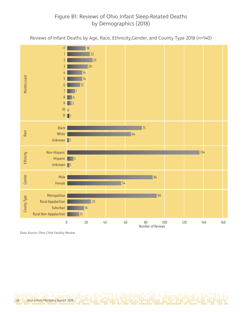### Figure B1: Reviews of Ohio Infant Sleep-Related Deaths by Demographics (2018)

Reviews of Infant Deaths by Age, Race, Ethnicity,Gender, and County Type 2018 (n=140)  $\leq$  $\blacksquare$ 18 22 1 2  $\sqrt{25}$ 20 3 4 14 Months Lived Months Lived 5 14 | 12 6 7 7 8 4  $\Box$ 3 9 10 0 11 1 75 Black Race White 64 Unknown 1 134 **Ethnicity** Non-Hispanic Hispanic **1** 5 Unknown 1 Gender Male 86 54 Female Metropolitan 90 County TypeRural Appalachian  $\blacksquare$  23 Suburban 16 Rural Non-Appalachian 11 0 20 40 60 80 100 120 140 160 Number of Reviews

Data Source: Ohio Child Fatality Review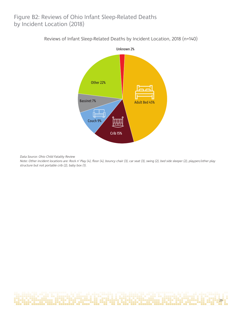## Figure B2: Reviews of Ohio Infant Sleep-Related Deaths by Incident Location (2018)



Reviews of Infant Sleep-Related Deaths by Incident Location, 2018 (n=140)

Data Source: Ohio Child Fatality Review

Note: Other incident locations are: Rock n' Play (4), floor (4), bouncy chair (3), car seat (3), swing (2), bed side sleeper (2), playpen/other play structure but not portable crib (2), baby box (1).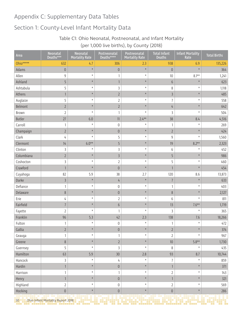## Appendix C: Supplementary Data Tables

## Section 1: County-Level Infant Mortality Data

### Table C1: Ohio Neonatal, Postneonatal, and Infant Mortality (per 1,000 live births), by County (2018)

| Area          | Neonatal<br>Deaths*** | Neonatal<br><b>Mortality Rate</b> | Postneonatal<br>Deaths**** | Postneonatal<br><b>Mortality Rate</b> | Total Infant<br><b>Deaths</b> | <b>Infant Mortality</b><br>Rate | <b>Total Births</b> |
|---------------|-----------------------|-----------------------------------|----------------------------|---------------------------------------|-------------------------------|---------------------------------|---------------------|
| Ohio*****     | 632                   | 4.7                               | 306                        | 2.3                                   | 938                           | 6.9                             | 135,226             |
| Adams         | $\boldsymbol{0}$      | $\star$                           | $\pmb{0}$                  | $\star$                               | $\boldsymbol{0}$              | $\star$                         | 364                 |
| Allen         | $\overline{9}$        | $\star$                           | $\mathbf{1}$               | $\star$                               | 10                            | $8.1***$                        | 1,241               |
| Ashland       | 5                     | $\star$                           | $\mathbf{1}$               | $\star$                               | $6\,$                         | $\star$                         | 623                 |
| Ashtabula     | 5                     | $\star$                           | $\mathsf{3}$               | $\star$                               | 8                             | $\star$                         | 1,118               |
| Athens        | $\mathbf{1}$          | $\star$                           | $\overline{2}$             | $\star$                               | $\overline{3}$                | $\star$                         | 485                 |
| Auglaize      | 5                     | $\star$                           | $\overline{2}$             | $\star$                               | 7                             | $\star$                         | 558                 |
| Belmont       | $\overline{2}$        | $\star$                           | $\overline{2}$             | $\star$                               | $\frac{1}{4}$                 | $\star$                         | 642                 |
| Brown         | $\overline{2}$        | $\star$                           | $\mathbf{1}$               | $^\star$                              | $\overline{3}$                | $\star$                         | 504                 |
| <b>Butler</b> | 27                    | 6.0                               | $11\,$                     | $2.4***$                              | 38                            | 8.4                             | 4,516               |
| Carroll       | 1                     | $\star$                           | $\boldsymbol{0}$           | $^\star$                              | 1                             | $\star$                         | 269                 |
| Champaign     | $\overline{2}$        | $\star$                           | $\boldsymbol{0}$           | $\star$                               | $\overline{2}$                | $\star$                         | 424                 |
| Clark         | $\frac{1}{4}$         | $\star$                           | 5                          | $\star$                               | $\overline{9}$                | $\star$                         | 1,560               |
| Clermont      | 14                    | $6.0**$                           | 5                          | $\star$                               | 19                            | $8.2**$                         | 2,323               |
| Clinton       | $\mathsf{3}$          | $\star$                           | $\mathsf{3}$               | $\star$                               | 6                             | $\star$                         | 452                 |
| Columbiana    | $\overline{2}$        | $\star$                           | $\overline{3}$             | $\star$                               | 5                             | $\star$                         | 986                 |
| Coshocton     | 3                     | $\star$                           | $\overline{2}$             | $\star$                               | 5                             | $\star$                         | 460                 |
| Crawford      | $\mathbf{1}$          | $\star$                           | $\mathbf 0$                | $\star$                               | $\mathbf{1}$                  | $\star$                         | 454                 |
| Cuyahoga      | 82                    | 5.9                               | 38                         | 2.7                                   | 120                           | 8.6                             | 13,873              |
| Darke         | $\overline{3}$        | $\star$                           | $\overline{4}$             | $\star$                               | $\overline{I}$                | $\star$                         | 633                 |
| Defiance      | 1                     | $\star$                           | $\boldsymbol{0}$           | $\star$                               | 1                             | $\star$                         | 403                 |
| Delaware      | 8                     | $\star$                           | $\boldsymbol{0}$           | $\star$                               | $8\,$                         | $\star$                         | 2,127               |
| Erie          | 4                     | $\star$                           | $\overline{2}$             | $\star$                               | 6                             | $\star$                         | 811                 |
| Fairfield     | $\overline{7}$        | $\star$                           | $6\,$                      | $\star$                               | 13                            | $7.6***$                        | 1,719               |
| Fayette       | $\overline{2}$        | $\star$                           | $\mathbf{1}$               | $\star$                               | $\overline{3}$                | $\star$                         | 365                 |
| Franklin      | 96                    | 5.3                               | 42                         | 2.3                                   | 138                           | 7.6                             | 18,266              |
| Fulton        | 1                     | $\star$                           | $\boldsymbol{0}$           | $\star$                               | 1                             | $\star$                         | 472                 |
| Gallia        | $\overline{2}$        | $\star$                           | $\boldsymbol{0}$           | $\star$                               | $\overline{2}$                | $\star$                         | 374                 |
| Geauga        | 1                     | $\star$                           | $\mathbf{1}$               | $\star$                               | $\overline{2}$                | $\star$                         | 967                 |
| Greene        | $8\,$                 | $\star$                           | $\overline{2}$             | $\star$                               | $10\,$                        | $5.8**$                         | 1,730               |
| Guernsey      | 5                     | $\star$                           | 3                          | $\star$                               | 8                             | $\star$                         | 435                 |
| Hamilton      | 63                    | 5.9                               | 30                         | 2.8                                   | 93                            | 8.7                             | 10,744              |
| Hancock       | $\mathsf{3}$          | $\star$                           | 4                          | $\star$                               | $\overline{7}$                | $\star$                         | 859                 |
| Hardin        | $\mathbf{1}$          | $\star$                           | $\boldsymbol{0}$           | $\star$                               | $\mathbf{1}$                  | $\star$                         | 371                 |
| Harrison      | 1                     | $\star$                           | $\mathbf{1}$               | $\star$                               | $\overline{2}$                | $\star$                         | 143                 |
| Henry         | $\mathbf{1}$          | $\star$                           | $\boldsymbol{0}$           | $\star$                               | $\mathbf{1}$                  | $\star$                         | 321                 |
| Highland      | $\overline{2}$        | $\star$                           | $\boldsymbol{0}$           | $^\star$                              | $\overline{2}$                | $\star$                         | 569                 |
| Hocking       | $\overline{0}$        | $\star$                           | $\mathbf 0$                | $\star$                               | $\overline{0}$                | $\star$                         | 286                 |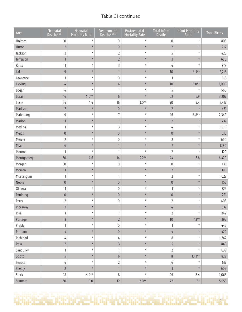### Table C1 continued

| Area       | Neonatal<br>Deaths*** | Neonatal<br><b>Mortality Rate</b> | Postneonatal<br>Deaths**** | Postneonatal<br><b>Mortality Rate</b> | <b>Total Infant</b><br><b>Deaths</b> | <b>Infant Mortality</b><br>Rate | <b>Total Births</b> |
|------------|-----------------------|-----------------------------------|----------------------------|---------------------------------------|--------------------------------------|---------------------------------|---------------------|
| Holmes     | $\boldsymbol{0}$      | $\star$                           | $\boldsymbol{0}$           | $\star$                               | 0                                    | $\star$                         | 805                 |
| Huron      | $\overline{2}$        | $\star$                           | $\boldsymbol{0}$           | $\star$                               | $\overline{2}$                       | $\star$                         | 712                 |
| Jackson    | $\overline{3}$        | $\star$                           | $\overline{2}$             | $\star$                               | 5                                    | $\star$                         | 425                 |
| Jefferson  | 1                     | $\star$                           | $\overline{2}$             | $\star$                               | $\overline{3}$                       | $\star$                         | 680                 |
| Knox       | 1                     | $\star$                           | $\mathsf 3$                | $\star$                               | 4                                    | $\star$                         | 778                 |
| Lake       | $\overline{9}$        | $\star$                           | $\mathbf{1}$               | $\star$                               | 10                                   | $4.5**$                         | 2,215               |
| Lawrence   |                       | $\star$                           | $\boldsymbol{0}$           | $\star$                               | 1                                    | $\star$                         | 618                 |
| Licking    | $\frac{1}{4}$         | $\star$                           | $6\phantom{.}$             | $\star$                               | 10                                   | $5.0**$                         | 2,009               |
| Logan      | 4                     | $\star$                           | $\mathbf{1}$               | $\star$                               | 5                                    | $\star$                         | 566                 |
| Lorain     | 16                    | $5.0**$                           | $6\,$                      | $\star$                               | 22                                   | 6.9                             | 3,207               |
| Lucas      | 24                    | 4.4                               | 16                         | $3.0**$                               | $40$                                 | 7.4                             | 5,417               |
| Madison    | $\overline{2}$        | $\star$                           | $\boldsymbol{0}$           | $\star$                               | $\overline{2}$                       | $\star$                         | 431                 |
| Mahoning   | $\boldsymbol{9}$      | $\star$                           | $\overline{I}$             | $\star$                               | 16                                   | $6.8**$                         | 2,349               |
| Marion     | $\mathbf{1}$          | $\star$                           | $\mathbf{1}$               | $\star$                               | $\overline{2}$                       | $\star$                         | 737                 |
| Medina     | 1                     | $\star$                           | $\mathsf 3$                | $\star$                               | $\frac{1}{4}$                        | $\star$                         | 1,676               |
| Meigs      | $\boldsymbol{0}$      | $\star$                           | $\boldsymbol{0}$           | $\star$                               | $\boldsymbol{0}$                     | $\star$                         | 213                 |
| Mercer     | $\overline{2}$        | $\star$                           | $\boldsymbol{0}$           | $\star$                               | $\overline{2}$                       | $\star$                         | 660                 |
| Miami      | $\sqrt{6}$            | $\star$                           | $\mathbf{1}$               | $\star$                               | $\overline{I}$                       | $\star$                         | 1,180               |
| Monroe     | 1                     | $\star$                           | $\mathbf{1}$               | $^\star$                              | $\overline{2}$                       | $\star$                         | 129                 |
| Montgomery | 30                    | 4.6                               | 14                         | $2.2**$                               | 44                                   | 6.8                             | 6,470               |
| Morgan     | $\boldsymbol{0}$      | $\star$                           | $\boldsymbol{0}$           | $^\star$                              | $\boldsymbol{0}$                     | $\star$                         | 133                 |
| Morrow     | $\mathbf{1}$          | $\star$                           | $\mathbf{1}$               | $\star$                               | $\overline{2}$                       | $\star$                         | 396                 |
| Muskingum  | 1                     | $\star$                           | $\mathbf{1}$               | $\star$                               | $\overline{2}$                       | $\star$                         | 1,027               |
| Noble      | $\boldsymbol{0}$      | $\star$                           | $\boldsymbol{0}$           | $\star$                               | $\boldsymbol{0}$                     | $\star$                         | 153                 |
| Ottawa     | 1                     | $\star$                           | $\boldsymbol{0}$           | $\star$                               | 1                                    | $\star$                         | 325                 |
| Paulding   | $\boldsymbol{0}$      | $\star$                           | $\boldsymbol{0}$           | $\star$                               | $\boldsymbol{0}$                     | $\star$                         | 221                 |
| Perry      | $\overline{2}$        | $\star$                           | $\mathbf 0$                | $\star$                               | $\overline{2}$                       | $\star$                         | 408                 |
| Pickaway   | $\overline{3}$        | $\star$                           | $\mathbf{1}$               | $\star$                               | 4                                    | $\star$                         | 637                 |
| Pike       | 1                     | $\star$                           | 1                          | $\star$                               | $\overline{2}$                       | $\star$                         | 342                 |
| Portage    | $\,8\,$               | $\star$                           | $\overline{2}$             | $\star$                               | 10                                   | $7.2**$                         | 1,392               |
| Preble     | $\mathbf{1}$          | $\star$                           | $\boldsymbol{0}$           | $^\star$                              | $\mathbf{1}$                         | $\star$                         | 445                 |
| Putnam     | $\frac{1}{4}$         | $\star$                           | $\boldsymbol{0}$           | $\star$                               | $\frac{1}{4}$                        | $\star$                         | 424                 |
| Richland   | 4                     | $\star$                           | $\frac{1}{4}$              | $\star$                               | 8                                    | $\star$                         | 1,362               |
| Ross       | $\overline{2}$        | $\star$                           | $\overline{3}$             | $\star$                               | 5                                    | $\star$                         | 849                 |
| Sandusky   | 1                     | $\star$                           | $\mathbf{1}$               | $\star$                               | $\overline{2}$                       | $\star$                         | 639                 |
| Scioto     | 5                     | $\star$                           | $6\,$                      | $\star$                               | 11                                   | $13.3**$                        | 829                 |
| Seneca     | $\frac{1}{4}$         | $\star$                           | $\overline{2}$             | $^\star$                              | $\boldsymbol{6}$                     | $\star$                         | 617                 |
| Shelby     | $\overline{2}$        | $\star$                           | $\mathbf{1}$               | $\star$                               | $\overline{3}$                       | $\star$                         | 609                 |
| Stark      | 18                    | $4.4***$                          | 8                          | $\star$                               | 26                                   | 6.4                             | 4,065               |
| Summit     | $30\,$                | $5.0\,$                           | 12                         | $2.0**$                               | 42                                   | $7.1\,$                         | 5,953               |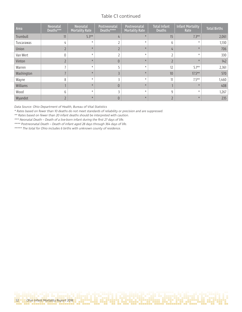### Table C1 continued

| Area       | Neonatal<br>Deaths*** | <b>Neonatal</b><br><b>Mortality Rate</b> | Postneonatal<br>Deaths**** | Postneonatal<br><b>Mortality Rate</b> | <b>Total Infant</b><br><b>Deaths</b> | <b>Infant Mortality</b><br>Rate | <b>Total Births</b> |
|------------|-----------------------|------------------------------------------|----------------------------|---------------------------------------|--------------------------------------|---------------------------------|---------------------|
| Trumbull   | 11                    | $5.3**$                                  | 4                          | $\star$                               | 15                                   | $7.3***$                        | 2,061               |
| Tuscarawas | 4                     | $\star$                                  |                            | $\star$                               | 6                                    | $\star$                         | 1,130               |
| Union      |                       |                                          |                            | $\star$                               | 4                                    | $\star$                         | 706                 |
| Van Wert   |                       | $\star$                                  |                            | $\star$                               | ำ                                    | $\star$                         | 330                 |
| Vinton     |                       |                                          | $\theta$                   | $\star$                               |                                      | $\star$                         | 142                 |
| Warren     |                       | $^\star$                                 |                            | $\star$                               | 12                                   | $5.1***$                        | 2,361               |
| Washington |                       |                                          | 3                          | $\star$                               | 10                                   | $17.5***$                       | 570                 |
| Wayne      | 8                     | $\star$                                  | $\mathbf{D}$               | $\star$                               | 11                                   | $7.5***$                        | 1,460               |
| Williams   |                       | $\star$                                  | $\theta$                   | $\star$                               |                                      | $\star$                         | 408                 |
| Wood       | 6                     | $^\star$                                 | 3                          | $\star$                               | $\mathsf{Q}$                         | $\star$                         | 1,267               |
| Wyandot    |                       |                                          | $\overline{0}$             | $\star$                               |                                      | $\star$                         | 235                 |

Data Source: Ohio Department of Health, Bureau of Vital Statistics

\* Rates based on fewer than 10 deaths do not meet standards of reliability or precision and are suppressed.

\*\* Rates based on fewer than 20 infant deaths should be interpreted with caution.

\*\*\* Neonatal Death – Death of a live-born infant during the first 27 days of life.

\*\*\*\* Postneonatal Death - Death of infant aged 28 days through 364 days of life.

\*\*\*\*\* The total for Ohio includes 6 births with unknown county of residence.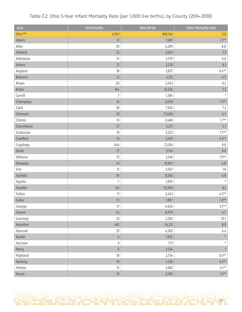## Table C2: Ohio 5-Year Infant Mortality Rate (per 1,000 live births), by County (2014-2018)

| Area       | <b>Total Deaths</b> | <b>Total Births</b> | <b>Infant Mortality Rate</b> |
|------------|---------------------|---------------------|------------------------------|
| Ohio***    | 4,903               | 689,146             | 5.8                          |
| Adams      | 12                  | 1,687               | $7.1***$                     |
| Allen      | 50                  | 6,289               | $\rm 8.0$                    |
| Ashland    | 22                  | 3,024               | 7.3                          |
| Ashtabula  | 37                  | 5,579               | 6.6                          |
| Athens     | 21                  | 2,578               | 8.1                          |
| Auglaize   | 18                  | 2,827               | $6.4***$                     |
| Belmont    | 21                  | 3,251               | 6.5                          |
| Brown      | 20                  | 2,453               | $8.2\,$                      |
| Butler     | 164                 | 22,526              | 7.3                          |
| Carroll    | $\overline{1}$      | 1,384               | $\star$                      |
| Champaign  | 16                  | 2,030               | $7.9**$                      |
| Clark      | 58                  | 7,942               | 7.3                          |
| Clermont   | 78                  | 11,600              | 6.7                          |
| Clinton    | 19                  | 2,480               | $7.7**$                      |
| Columbiana | 27                  | 5,251               | 5.1                          |
| Coshocton  | $18\,$              | 2,323               | $7.7**$                      |
| Crawford   | 13                  | 2,401               | $5.4***$                     |
| Cuyahoga   | 644                 | 73,104              | $\,8.8$                      |
| Darke      | 27                  | 3,156               | 8.6                          |
| Defiance   | 15                  | 2,140               | $7.0^{\star\star}$           |
| Delaware   | 43                  | 10,814              | 4.0                          |
| Erie       | 31                  | 3,967               | $7.8\,$                      |
| Fairfield  | 59                  | 8,566               | 6.9                          |
| Fayette    | $\overline{1}$      | 1,695               | $\star$                      |
| Franklin   | 761                 | 93,965              | 8.1                          |
| Fulton     | 11                  | 2,442               | $4.5***$                     |
| Gallia     | 13                  | 1,857               | $7.0**$                      |
| Geauga     | 17                  | 4,626               | $3.7**$                      |
| Greene     | 42                  | 8,979               | 4.7                          |
| Guernsey   | 23                  | 2,285               | $10.1\,$                     |
| Hamilton   | 485                 | 54,211              | 8.9                          |
| Hancock    | 29                  | 4,565               | 6.4                          |
| Hardin     | $\sqrt{4}$          | 1,876               | $\star$                      |
| Harrison   | $\boldsymbol{9}$    | 773                 | $\star$                      |
| Henry      | $\overline{9}$      | 1,534               | $\star$                      |
| Highland   | 18                  | 2,754               | $6.5***$                     |
| Hocking    | 10                  | 1,528               | $6.5***$                     |
| Holmes     | 15                  | 3,682               | $4.1***$                     |
| Huron      | 19                  | 3,705               | $5.1***$                     |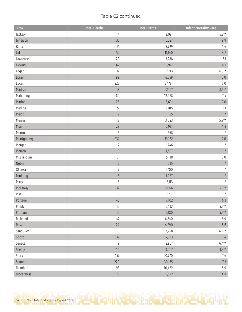### Table C2 continued

| Area       | <b>Total Deaths</b> | <b>Total Births</b> | <b>Infant Mortality Rate</b> |
|------------|---------------------|---------------------|------------------------------|
| Jackson    | 14                  | 2,091               | $6.7**$                      |
| Jefferson  | 33                  | 3,327               | 9.9                          |
| Knox       | 21                  | 3,729               | 5.6                          |
| Lake       | 52                  | 11,140              | 4.7                          |
| Lawrence   | 20                  | 3,288               | $6.1\,$                      |
| Licking    | 62                  | 9,981               | 6.2                          |
| Logan      | 17                  | 2,713               | $6.3**$                      |
| Lorain     | 99                  | 16,559              | 6.0                          |
| Lucas      | 222                 | 27,781              | $8.0\,$                      |
| Madison    | 18                  | 2,127               | $8.5**$                      |
| Mahoning   | 89                  | 12,078              | 7.4                          |
| Marion     | 26                  | 3,691               | 7.0                          |
| Medina     | 27                  | 8,815               | 3.1                          |
| Meigs      | $\overline{7}$      | 1,185               | $\star$                      |
| Mercer     | 18                  | 3,043               | $5.9**$                      |
| Miami      | 29                  | 5,981               | 4.8                          |
| Monroe     | $\boldsymbol{6}$    | 668                 | $\star$                      |
| Montgomery | 232                 | 33,122              | 7.0                          |
| Morgan     | $\sqrt{2}$          | 746                 | $\star$                      |
| Morrow     | $\boldsymbol{9}$    | 1,887               | $\star$                      |
| Muskingum  | 31                  | 5,138               | $6.0\,$                      |
| Noble      | $\overline{2}$      | 695                 | $\star$                      |
| Ottawa     | $\overline{7}$      | 1,700               | $\star$                      |
| Paulding   | 5                   | 1,087               | $\star$                      |
| Perry      | $\,8\,$             | 2,113               | $\star$                      |
| Pickaway   | $17\,$              | 3,066               | $5.5***$                     |
| Pike       | $\, 8$              | 1,731               | $\star$                      |
| Portage    | 45                  | 7,102               | 6.3                          |
| Preble     | 12                  | 2,192               | $5.5***$                     |
| Putnam     | 12                  | 2,180               | $5.5**$                      |
| Richland   | 47                  | 6,840               | $6.9$                        |
| Ross       | 24                  | 4,290               | 5.6                          |
| Sandusky   | 16                  | 3,258               | $4.9^{\star\star}$           |
| Scioto     | 32                  | 4,333               | 7.4                          |
| Seneca     | 19                  | 2,957               | $6.4***$                     |
| Shelby     | 10                  | 3,067               | $3.3**$                      |
| Stark      | 157                 | 20,770              | 7.6                          |
| Summit     | 220                 | 30,135              | 7.3                          |
| Trumbull   | 93                  | 10,432              | $\,8.9$                      |
| Tuscarawas | 28                  | 5,822               | $4.8\,$                      |

i (Timor)

a a sh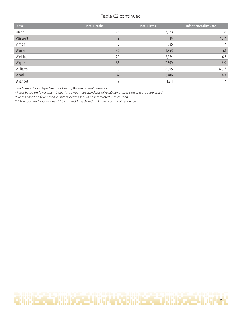### Table C2 continued

| Area       | <b>Total Deaths</b> | <b>Total Births</b> | Infant Mortality Rate |
|------------|---------------------|---------------------|-----------------------|
| Union      | 26                  | 3,333               | 7.8                   |
| Van Wert   | 12                  | 1,714               | $7.0**$               |
| Vinton     | 5                   | 735                 | $\star$               |
| Warren     | 49                  | 11,843              | 4.1                   |
| Washington | 20                  | 2,974               | 6.7                   |
| Wayne      | 53                  | 7,669               | 6.9                   |
| Williams   | 10                  | 2,095               | $4.8**$               |
| Wood       | 32                  | 6,816               | 4.7                   |
| Wyandot    | ⇁                   | 1,211               | $\star$               |

Data Source: Ohio Department of Health, Bureau of Vital Statistics.

\* Rates based on fewer than 10 deaths do not meet standards of reliability or precision and are suppressed.

\*\* Rates based on fewer than 20 infant deaths should be interpreted with caution.

\*\*\* The total for Ohio includes 47 births and 1 death with unknown county of residence.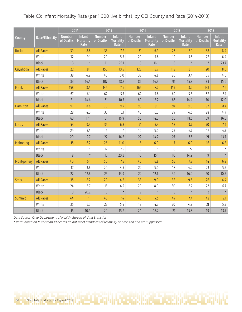### Table C3: Infant Mortality Rate (per 1,000 live births), by OEI County and Race (2014-2018)

|               |                  | 2014                       |                             | 2015                       |                             | 2016                       |                             | 2017                       |                                    |                            | 2018                                      |
|---------------|------------------|----------------------------|-----------------------------|----------------------------|-----------------------------|----------------------------|-----------------------------|----------------------------|------------------------------------|----------------------------|-------------------------------------------|
| County        | Race/Ethnicity   | <b>Number</b><br>of Deaths | Infant<br>Mortality<br>Rate | <b>Number</b><br>of Deaths | Infant<br>Mortality<br>Rate | <b>Number</b><br>of Deaths | Infant<br>Mortality<br>Rate | <b>Number</b><br>of Deaths | <b>Infant</b><br>Mortality<br>Rate | <b>Number</b><br>of Deaths | <b>Infant</b><br><b>Mortality</b><br>Rate |
| <b>Butler</b> | <b>All Races</b> | 39                         | 8.8                         | 33                         | 7.2                         | 31                         | 6.9                         | 23                         | 5.1                                | 38                         | 8.4                                       |
|               | White            | 32                         | 9.1                         | 20                         | 5.5                         | 20                         | 5.8                         | 12                         | 3.5                                | 22                         | 6.4                                       |
|               | <b>Black</b>     | $\overline{3}$             | $\star$                     | 11                         | 23.1                        | $8\,$                      | 16.1                        | $6\phantom{a}$             | $\star$                            | 13                         | 23.7                                      |
| Cuyahoga      | <b>All Races</b> | 122                        | 8.1                         | 156                        | 10.5                        | 128                        | 8.7                         | 118                        | 8.1                                | 120                        | 8.6                                       |
|               | White            | 38                         | 4.9                         | 46                         | 6.0                         | 38                         | 4.8                         | 26                         | 3.4                                | 35                         | 4.6                                       |
|               | <b>Black</b>     | 83                         | 14.4                        | 107                        | 18.7                        | 85                         | 14.9                        | 91                         | 15.8                               | 83                         | 15.6                                      |
| Franklin      | <b>All Races</b> | 158                        | 8.4                         | 145                        | 7.6                         | 165                        | 8.7                         | 155                        | 8.2                                | 138                        | 7.6                                       |
|               | White            | 67                         | 6.1                         | 62                         | 5.7                         | 62                         | 5.8                         | 62                         | 5.8                                | 52                         | 5.1                                       |
|               | <b>Black</b>     | 81                         | 14.4                        | 61                         | 10.7                        | 89                         | 15.2                        | 83                         | 14.4                               | 70                         | 12.0                                      |
| Hamilton      | <b>All Races</b> | 97                         | 8.8                         | 100                        | 9.2                         | 98                         | 9.1                         | 97                         | 9.0                                | 93                         | 8.7                                       |
|               | White            | 28                         | 4.3                         | 33                         | 5.1                         | 40                         | 6.3                         | 29                         | 4.5                                | 28                         | 4.4                                       |
|               | <b>Black</b>     | 63                         | 17.1                        | 61                         | 16.9                        | 50                         | 14.3                        | 66                         | 18.5                               | 59                         | 16.5                                      |
| Lucas         | <b>All Races</b> | 53                         | 9.3                         | 35                         | 6.3                         | 41                         | 7.3                         | 53                         | 9.7                                | 40                         | 7.4                                       |
|               | White            | 29                         | 7.5                         | 6                          | $\star$                     | 19                         | 5.0                         | 25                         | 6.7                                | 17                         | 4.7                                       |
|               | <b>Black</b>     | 20                         | 12.7                        | 27                         | 16.8                        | 22                         | 14.2                        | 27                         | 17.5                               | 21                         | 13.7                                      |
| Mahoning      | <b>All Races</b> | 15                         | 6.2                         | 26                         | 11.0                        | 15                         | 6.0                         | 17                         | 6.9                                | 16                         | 6.8                                       |
|               | White            | $\overline{1}$             | $\star$                     | 12                         | 7.5                         | 5                          | $\star$                     | 6                          | $\star$ .                          | 5                          | $\star$                                   |
|               | <b>Black</b>     | 8                          | $\star$                     | 13                         | 20.3                        | 10                         | 15.1                        | 10                         | 14.9                               | $\overline{9}$             | $\star$                                   |
| Montgomery    | <b>All Races</b> | 40                         | 6.1                         | 50                         | 7.5                         | 45                         | 6.8                         | 53                         | 7.8                                | 44                         | 6.8                                       |
|               | White            | 17                         | 3.8                         | 20                         | 4.5                         | 22                         | 5.0                         | 18                         | 4.2                                | 23                         | 5.5                                       |
|               | <b>Black</b>     | 22                         | 12.8                        | 25                         | 13.9                        | 22                         | 12.6                        | 32                         | 16.9                               | 20                         | 10.5                                      |
| <b>Stark</b>  | <b>All Races</b> | 35                         | 8.2                         | 20                         | 4.8                         | 38                         | 9.0                         | 38                         | 9.5                                | 26                         | 6.4                                       |
|               | White            | 24                         | 6.7                         | 15                         | 4.2                         | 29                         | 8.0                         | 30                         | 8.7                                | 23                         | 6.7                                       |
|               | <b>Black</b>     | 10                         | 20.2                        | 5                          | $\star$                     | $\overline{9}$             | $\star$                     | 8                          | $\star$                            | $\overline{3}$             | $\star$                                   |
| Summit        | <b>All Races</b> | 44                         | 7.1                         | 45                         | 7.4                         | 45                         | 7.5                         | 44                         | 7.4                                | 42                         | 7.1                                       |
|               | White            | 25                         | 5.7                         | 23                         | 5.4                         | 18                         | 4.3                         | 20                         | 4.9                                | 21                         | 5.2                                       |
|               | <b>Black</b>     | 15                         | 10.9                        | 20                         | 15.2                        | 24                         | 18.2                        | 21                         | 15.8                               | 19                         | 13.7                                      |

Data Source: Ohio Department of Health, Bureau of Vital Statistics

\* Rates based on fewer than 10 deaths do not meet standards of reliability or precision and are suppressed.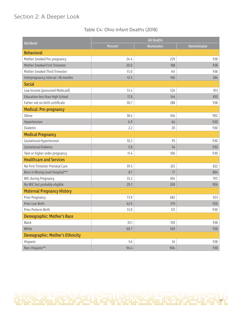## Section 2: A Deeper Look

## Table C4: Ohio Infant Deaths (2018)

|                                        | <b>All Deaths</b> |           |             |  |  |  |  |  |  |
|----------------------------------------|-------------------|-----------|-------------|--|--|--|--|--|--|
| <b>Attribute</b>                       | Percent           | Numerator | Denominator |  |  |  |  |  |  |
| <b>Behavioral</b>                      |                   |           |             |  |  |  |  |  |  |
| Mother Smoked Pre-pregnancy            | 24.4              | 229       | 938         |  |  |  |  |  |  |
| Mother Smoked First Trimester          | 20.0              | 188       | 938         |  |  |  |  |  |  |
| Mother Smoked Third Trimester          | 15.0              | 141       | 938         |  |  |  |  |  |  |
| Interpregnancy interval <18 months     | 41.5              | 160       | 386         |  |  |  |  |  |  |
| <b>Social</b>                          |                   |           |             |  |  |  |  |  |  |
| Low Income (presumed Medicaid)         | 57.4              | 524       | 913         |  |  |  |  |  |  |
| Education less than High School        | 17.8              | 144       | 810         |  |  |  |  |  |  |
| Father not on birth certificate        | 30.7              | 288       | 938         |  |  |  |  |  |  |
| <b>Medical: Pre-pregnancy</b>          |                   |           |             |  |  |  |  |  |  |
| Obese                                  | 38.4              | 346       | 902         |  |  |  |  |  |  |
| Hypertension                           | 6.9               | 64        | 930         |  |  |  |  |  |  |
| <b>Diabetes</b>                        | 2.2               | 20        | 930         |  |  |  |  |  |  |
| <b>Medical Pregnancy</b>               |                   |           |             |  |  |  |  |  |  |
| <b>Gestational Hypertension</b>        | 10.2              | 95        | 930         |  |  |  |  |  |  |
| <b>Gestational Diabetes</b>            | 5.8               | 54        | 930         |  |  |  |  |  |  |
| Twin or higher order pregnancy         | 11.4              | 106       | 930         |  |  |  |  |  |  |
| <b>Healthcare and Services</b>         |                   |           |             |  |  |  |  |  |  |
| No First Trimester Prenatal Care       | 39.5              | 325       | 822         |  |  |  |  |  |  |
| Born in Wrong Level Hospital***        | 8.7               | 77        | 884         |  |  |  |  |  |  |
| <b>WIC during Pregnancy</b>            | 33.2              | 304       | 915         |  |  |  |  |  |  |
| No WIC but probably eligible           | 29.7              | 269       | 906         |  |  |  |  |  |  |
| <b>Maternal Pregnancy History</b>      |                   |           |             |  |  |  |  |  |  |
| Prior Pregnancy                        | 73.9              | 682       | 923         |  |  |  |  |  |  |
| Prior Live Birth                       | 62.9              | 579       | 920         |  |  |  |  |  |  |
| Prior Preterm Birth                    | 13.0              | 121       | 930         |  |  |  |  |  |  |
| <b>Demographic: Mother's Race</b>      |                   |           |             |  |  |  |  |  |  |
| <b>Black</b>                           | 33.1              | 310       | 938         |  |  |  |  |  |  |
| White                                  | 60.7              | 569       | 938         |  |  |  |  |  |  |
| <b>Demographic: Mother's Ethnicity</b> |                   |           |             |  |  |  |  |  |  |
| Hispanic                               | 3.6               | 34        | 938         |  |  |  |  |  |  |
| Non-Hispanic**                         | 96.4              | 904       | 938         |  |  |  |  |  |  |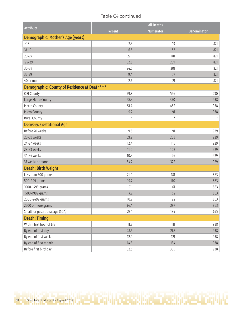### Table C4 continued

|                                               | <b>All Deaths</b> |           |             |  |  |  |  |  |  |
|-----------------------------------------------|-------------------|-----------|-------------|--|--|--|--|--|--|
| Attribute                                     | Percent           | Numerator | Denominator |  |  |  |  |  |  |
| Demographic: Mother's Age (years)             |                   |           |             |  |  |  |  |  |  |
| ~18                                           | 2.3               | 19        | 821         |  |  |  |  |  |  |
| $18 - 19$                                     | 6.5               | 53        | 821         |  |  |  |  |  |  |
| $20 - 24$                                     | 22.1              | 181       | 821         |  |  |  |  |  |  |
| $25 - 29$                                     | 32.8              | 269       | 821         |  |  |  |  |  |  |
| $30 - 34$                                     | 24.5              | 201       | 821         |  |  |  |  |  |  |
| $35 - 39$                                     | 9.4               | 77        | 821         |  |  |  |  |  |  |
| 40 or more                                    | 2.6               | 21        | 821         |  |  |  |  |  |  |
| Demographic: County of Residence at Death**** |                   |           |             |  |  |  |  |  |  |
| <b>OEI County</b>                             | 59.8              | 556       | 930         |  |  |  |  |  |  |
| Large Metro County                            | 37.3              | 350       | 938         |  |  |  |  |  |  |
| Metro County                                  | 51.4              | 482       | 938         |  |  |  |  |  |  |
| Micro County                                  | 9.7               | 91        | 938         |  |  |  |  |  |  |
| <b>Rural County</b>                           | $\star$           | $\star$   | $^\star$    |  |  |  |  |  |  |
| <b>Delivery: Gestational Age</b>              |                   |           |             |  |  |  |  |  |  |
| Before 20 weeks                               | 9.8               | 91        | 929         |  |  |  |  |  |  |
| 20-23 weeks                                   | 21.9              | 203       | 929         |  |  |  |  |  |  |
| 24-27 weeks                                   | 12.4              | 115       | 929         |  |  |  |  |  |  |
| 28-33 weeks                                   | 11.0              | 102       | 929         |  |  |  |  |  |  |
| 34-36 weeks                                   | 10.3              | 96        | 929         |  |  |  |  |  |  |
| 37 weeks or more                              | 34.7              | 322       | 929         |  |  |  |  |  |  |
| <b>Death: Birth Weight</b>                    |                   |           |             |  |  |  |  |  |  |
| Less than 500 grams                           | 21.0              | 181       | 863         |  |  |  |  |  |  |
| 500-999 grams                                 | 19.7              | 170       | 863         |  |  |  |  |  |  |
| 1000-1499 grams                               | 7.1               | 61        | 863         |  |  |  |  |  |  |
| 1500-1999 grams                               | 7.2               | 62        | 863         |  |  |  |  |  |  |
| 2000-2499 grams                               | 10.7              | 92        | 863         |  |  |  |  |  |  |
| 2500 or more grams                            | 34.4              | 297       | 863         |  |  |  |  |  |  |
| Small for gestational age (SGA)               | 28.1              | 184       | 655         |  |  |  |  |  |  |
| <b>Death: Timing</b>                          |                   |           |             |  |  |  |  |  |  |
| Within first hour of life                     | 11.8              | 111       | 938         |  |  |  |  |  |  |
| By end of first day                           | 28.5              | 267       | 938         |  |  |  |  |  |  |
| By end of first week                          | 12.9              | 121       | 938         |  |  |  |  |  |  |
| By end of first month                         | 14.3              | 134       | 938         |  |  |  |  |  |  |
| Before first birthday                         | 32.5              | 305       | 938         |  |  |  |  |  |  |

زدودي

in pri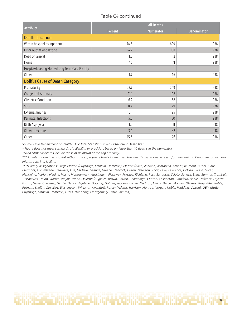### Table C4 continued

|                                              | <b>All Deaths</b> |           |             |  |  |  |  |  |
|----------------------------------------------|-------------------|-----------|-------------|--|--|--|--|--|
| Attribute                                    | Percent           | Numerator | Denominator |  |  |  |  |  |
| <b>Death: Location</b>                       |                   |           |             |  |  |  |  |  |
| Within hospital as inpatient                 | 74.5              | 699       | 938         |  |  |  |  |  |
| ER or outpatient setting                     | 14.7              | 138       | 938         |  |  |  |  |  |
| Dead on arrival                              | 1.3               | 12        | 938         |  |  |  |  |  |
| Home                                         | 7.6               | 71        | 938         |  |  |  |  |  |
| Hospice/Nursing Home/Long Term Care Facility |                   |           |             |  |  |  |  |  |
| Other                                        | 1.7               | 16        | 938         |  |  |  |  |  |
| <b>Dollfus Cause of Death Category</b>       |                   |           |             |  |  |  |  |  |
| Prematurity                                  | 28.7              | 269       | 938         |  |  |  |  |  |
| Congenital Anomaly                           | 21.1              | 198       | 938         |  |  |  |  |  |
| <b>Obstetric Condition</b>                   | 6.2               | 58        | 938         |  |  |  |  |  |
| SIDS                                         | 8.4               | 79        | 938         |  |  |  |  |  |
| <b>External Injuries</b>                     | 10.1              | 95        | 938         |  |  |  |  |  |
| Perinatal Infections                         | 5.3               | 50        | 938         |  |  |  |  |  |
| Birth Asphyxia                               | 1.2               | 11        | 938         |  |  |  |  |  |
| Other Infections                             | 3.4               | 32        | 938         |  |  |  |  |  |
| Other                                        | 15.6              | 146       | 938         |  |  |  |  |  |

Source: Ohio Department of Health, Ohio Vital Statistics Linked Birth/Infant Death files

\* Figure does not meet standards of reliability or precision, based on fewer than 10 deaths in the numerator

\*\*Non-Hispanic deaths include those of unknown or missing ethnicity.

\*\*\* An infant born in a hospital without the appropriate level of care given the infant's gestational age and/or birth weight. Denominator includes infants born in a facility.

\*\*\*\*County designations: Large Metro= (Cuyahoga, Franklin, Hamilton), Metro= (Allen, Ashland, Ashtabula, Athens, Belmont, Butler, Clark, Clermont, Columbiana, Delaware, Erie, Fairfield, Geauga, Greene, Hancock, Huron, Jefferson, Knox, Lake, Lawrence, Licking, Lorain, Lucas, Mahoning, Marion, Medina, Miami, Montgomery, Muskingum, Pickaway, Portage, Richland, Ross, Sandusky, Scioto, Seneca, Stark, Summit, Trumbull, Tuscarawas, Union, Warren, Wayne, Wood), Micro= (Auglaize, Brown, Carroll, Champaign, Clinton, Coshocton, Crawford, Darke, Defiance, Fayette, Fulton, Gallia, Guernsey, Hardin, Henry, Highland, Hocking, Holmes, Jackson, Logan, Madison, Meigs, Mercer, Morrow, Ottawa, Perry, Pike, Preble, Putnam, Shelby, Van Wert, Washington, Williams, Wyandot), Rural= (Adams, Harrison, Monroe, Morgan, Noble, Paulding, Vinton), OEI= (Butler, Cuyahoga, Franklin, Hamilton, Lucas, Mahoning, Montgomery, Stark, Summit)

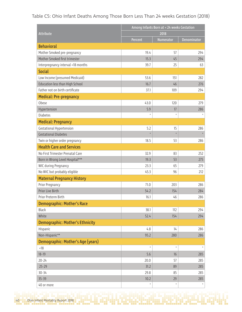Table C5: Ohio Infant Deaths Among Those Born Less Than 24 weeks Gestation (2018)

|                                        | Among Infants Born at < 24 weeks Gestation |                  |             |  |  |  |  |
|----------------------------------------|--------------------------------------------|------------------|-------------|--|--|--|--|
| <b>Attribute</b>                       |                                            | 2018             |             |  |  |  |  |
|                                        | Percent                                    | <b>Numerator</b> | Denominator |  |  |  |  |
| <b>Behavioral</b>                      |                                            |                  |             |  |  |  |  |
| Mother Smoked pre-pregnancy            | 19.4                                       | 57               | 294         |  |  |  |  |
| Mother Smoked first trimester          | 15.3                                       | 45               | 294         |  |  |  |  |
| Interpregnancy interval <18 months     | 39.7                                       | 25               | 63          |  |  |  |  |
| <b>Social</b>                          |                                            |                  |             |  |  |  |  |
| Low Income (presumed Medicaid)         | 53.6                                       | 151              | 282         |  |  |  |  |
| Education less than High School        | 16.7                                       | 46               | 276         |  |  |  |  |
| Father not on birth certificate        | 37.1                                       | 109              | 294         |  |  |  |  |
| <b>Medical: Pre-pregnancy</b>          |                                            |                  |             |  |  |  |  |
| Obese                                  | 43.0                                       | 120              | 279         |  |  |  |  |
| Hypertension                           | 5.9                                        | 17               | 286         |  |  |  |  |
| <b>Diabetes</b>                        | $\star$                                    | $\star$          | $\star$     |  |  |  |  |
| <b>Medical: Pregnancy</b>              |                                            |                  |             |  |  |  |  |
| <b>Gestational Hypertension</b>        | 5.2                                        | 15               | 286         |  |  |  |  |
| <b>Gestational Diabetes</b>            | $\star$                                    | $\star$          | $\star$     |  |  |  |  |
| Twin or higher order pregnancy         | 18.5                                       | 53               | 286         |  |  |  |  |
| <b>Health Care and Services</b>        |                                            |                  |             |  |  |  |  |
| No First Trimester Prenatal Care       | 32.9                                       | 83               | 252         |  |  |  |  |
| Born in Wrong Level Hospital***        | 19.3                                       | 53               | 275         |  |  |  |  |
| <b>WIC during Pregnancy</b>            | 23.3                                       | 65               | 279         |  |  |  |  |
| No WIC but probably eligible           | 45.3                                       | 96               | 212         |  |  |  |  |
| <b>Maternal Pregnancy History</b>      |                                            |                  |             |  |  |  |  |
| Prior Pregnancy                        | 71.0                                       | 203              | 286         |  |  |  |  |
| Prior Live Birth                       | 54.2                                       | 154              | 284         |  |  |  |  |
| Prior Preterm Birth                    | 16.1                                       | 46               | 286         |  |  |  |  |
| <b>Demographic: Mother's Race</b>      |                                            |                  |             |  |  |  |  |
| <b>Black</b>                           | 38.1                                       | 112              | 294         |  |  |  |  |
| White                                  | 52.4                                       | 154              | 294         |  |  |  |  |
| <b>Demographic: Mother's Ethnicity</b> |                                            |                  |             |  |  |  |  |
| Hispanic                               | 4.8                                        | 14               | 286         |  |  |  |  |
| Non-Hispanic**                         | 95.2                                       | 280              | 286         |  |  |  |  |
| Demographic: Mother's Age (years)      |                                            |                  |             |  |  |  |  |
| $<18$                                  | $\star$                                    | $\star$          | $\star$     |  |  |  |  |
| $18 - 19$                              | 5.6                                        | 16               | 285         |  |  |  |  |
| $20 - 24$                              | 20.0                                       | 57               | 285         |  |  |  |  |
| $25 - 29$                              | 31.2                                       | 89               | 285         |  |  |  |  |
| $30 - 34$                              | 29.8                                       | 85               | 285         |  |  |  |  |
| 35-39                                  | 10.2                                       | 29               | 285         |  |  |  |  |
| 40 or more                             | $\star$                                    | $^\star$         |             |  |  |  |  |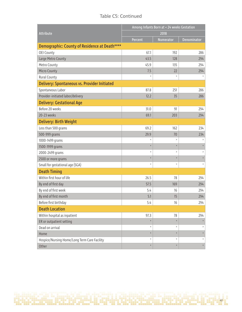### Table C5: Continued

|                                               | Among Infants Born at < 24 weeks Gestation |                  |             |  |  |  |  |
|-----------------------------------------------|--------------------------------------------|------------------|-------------|--|--|--|--|
| <b>Attribute</b>                              |                                            | 2018             |             |  |  |  |  |
|                                               | Percent                                    | <b>Numerator</b> | Denominator |  |  |  |  |
| Demographic: County of Residence at Death**** |                                            |                  |             |  |  |  |  |
| <b>OEI County</b>                             | 67.1                                       | 192              | 286         |  |  |  |  |
| Large Metro County                            | 43.5                                       | 128              | 294         |  |  |  |  |
| Metro County                                  | 45.9                                       | 135              | 294         |  |  |  |  |
| Micro County                                  | 7.5                                        | 22               | 294         |  |  |  |  |
| <b>Rural County</b>                           | $\star$                                    |                  |             |  |  |  |  |
| Delivery: Spontaneous vs. Provider Initiated  |                                            |                  |             |  |  |  |  |
| Spontaneous Labor                             | 87.8                                       | 251              | 286         |  |  |  |  |
| Provider-initiated labor/delivery             | 12.2                                       | 35               | 286         |  |  |  |  |
| <b>Delivery: Gestational Age</b>              |                                            |                  |             |  |  |  |  |
| Before 20 weeks                               | 31.0                                       | 91               | 294         |  |  |  |  |
| 20-23 weeks                                   | 69.1                                       | 203              | 294         |  |  |  |  |
| <b>Delivery: Birth Weight</b>                 |                                            |                  |             |  |  |  |  |
| Less than 500 grams                           | 69.2                                       | 162              | 234         |  |  |  |  |
| 500-999 grams                                 | 29.9                                       | 70               | 234         |  |  |  |  |
| 1000-1499 grams                               | $\star$                                    | $\star$          |             |  |  |  |  |
| 1500-1999 grams                               | $\star$                                    | $\star$          |             |  |  |  |  |
| 2000-2499 grams                               | $\star$                                    | $\star$          |             |  |  |  |  |
| 2500 or more grams                            | $\star$                                    | $\star$          | $\star$     |  |  |  |  |
| Small for gestational age (SGA)               | $\star$                                    | $\star$          |             |  |  |  |  |
| <b>Death Timing</b>                           |                                            |                  |             |  |  |  |  |
| Within first hour of life                     | 26.5                                       | 78               | 294         |  |  |  |  |
| By end of first day                           | 57.5                                       | 169              | 294         |  |  |  |  |
| By end of first week                          | 5.4                                        | 16               | 294         |  |  |  |  |
| By end of first month                         | 5.1                                        | 15               | 294         |  |  |  |  |
| Before first birthday                         | 5.4                                        | 16               | 294         |  |  |  |  |
| <b>Death Location</b>                         |                                            |                  |             |  |  |  |  |
| Within hospital as inpatient                  | 97.3                                       | 78               | 294         |  |  |  |  |
| ER or outpatient setting                      |                                            |                  |             |  |  |  |  |
| Dead on arrival                               | $\star$                                    | $\star$          |             |  |  |  |  |
| Home                                          | $\star$                                    | $\star$          |             |  |  |  |  |
| Hospice/Nursing Home/Long Term Care Facility  | $\star$                                    | $\star$          |             |  |  |  |  |
| Other                                         | $\star$                                    | $\star$          |             |  |  |  |  |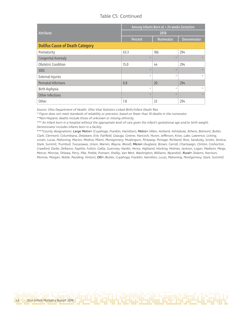### Table C5: Continued

|                                        | Among Infants Born at < 24 weeks Gestation |                  |             |  |  |  |  |  |  |  |
|----------------------------------------|--------------------------------------------|------------------|-------------|--|--|--|--|--|--|--|
| Attribute                              | 2018                                       |                  |             |  |  |  |  |  |  |  |
|                                        | Percent                                    | <b>Numerator</b> | Denominator |  |  |  |  |  |  |  |
| <b>Dollfus Cause of Death Category</b> |                                            |                  |             |  |  |  |  |  |  |  |
| Prematurity                            | 63.3                                       | 186              | 294         |  |  |  |  |  |  |  |
| Congenital Anomaly                     | $\star$                                    | $\star$          | $\star$     |  |  |  |  |  |  |  |
| <b>Obstetric Condition</b>             | 15.0                                       | 44               | 294         |  |  |  |  |  |  |  |
| <b>SIDS</b>                            | $\star$                                    | $\star$          | $\star$     |  |  |  |  |  |  |  |
| <b>External Injuries</b>               | $\star$                                    | $\star$          | $\star$     |  |  |  |  |  |  |  |
| Perinatal Infections                   | 6.8                                        | 20               | 294         |  |  |  |  |  |  |  |
| Birth Asphyxia                         | $\star$                                    | $\star$          | $\star$     |  |  |  |  |  |  |  |
| Other Infections                       | $\star$                                    | $\star$          | $\star$     |  |  |  |  |  |  |  |
| Other                                  | 7.8                                        | 23               | 294         |  |  |  |  |  |  |  |

Source: Ohio Department of Health, Ohio Vital Statistics Linked Birth/Infant Death files

\* Figure does not meet standards of reliability or precision, based on fewer than 10 deaths in the numerator

\*\*Non-Hispanic deaths include those of unknown or missing ethnicity.

\*\*\* An infant born in a hospital without the appropriate level of care given the infant's gestational age and/or birth weight. Denominator includes infants born in a facility.

\*\*\*\*County designations: Large Metro= (Cuyahoga, Franklin, Hamilton), Metro= (Allen, Ashland, Ashtabula, Athens, Belmont, Butler, Clark, Clermont, Columbiana, Delaware, Erie, Fairfield, Geauga, Greene, Hancock, Huron, Jefferson, Knox, Lake, Lawrence, Licking, Lorain, Lucas, Mahoning, Marion, Medina, Miami, Montgomery, Muskingum, Pickaway, Portage, Richland, Ross, Sandusky, Scioto, Seneca, Stark, Summit, Trumbull, Tuscarawas, Union, Warren, Wayne, Wood), Micro= (Auglaize, Brown, Carroll, Champaign, Clinton, Coshocton, Crawford, Darke, Defiance, Fayette, Fulton, Gallia, Guernsey, Hardin, Henry, Highland, Hocking, Holmes, Jackson, Logan, Madison, Meigs, Mercer, Morrow, Ottawa, Perry, Pike, Preble, Putnam, Shelby, Van Wert, Washington, Williams, Wyandot), Rural= (Adams, Harrison, Monroe, Morgan, Noble, Paulding, Vinton), OEI= (Butler, Cuyahoga, Franklin, Hamilton, Lucas, Mahoning, Montgomery, Stark, Summit)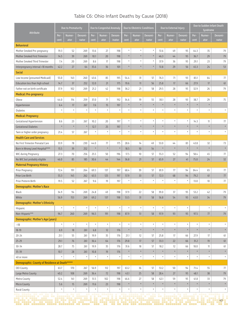## Table C6: Ohio Infant Deaths by Cause (2018)

| <b>Attribute</b>                               |          | Due to Prematurity |          |            | Due to Congenital Anomaly |         | <b>Due to Obstetric Conditions</b><br>Due to External Injury |          |          | Due to Sudden Infant Death<br>Syndrome |          |            |         |         |          |
|------------------------------------------------|----------|--------------------|----------|------------|---------------------------|---------|--------------------------------------------------------------|----------|----------|----------------------------------------|----------|------------|---------|---------|----------|
|                                                | Per-     | Numer-             | Denomi-  | Per-       | Numer-                    | Denom-  | Per-                                                         | Numer-   | Denomi-  | Per-                                   | Numer-   | Denomi-    | Per-    | Numer-  | Denomi-  |
| <b>Behavioral</b>                              | cent     | ator               | nator    | cent       | ator                      | inator  | cent                                                         | ator     | nator    | cent                                   | ator     | nator      | cent    | ator    | nator    |
| Mother Smoked Pre-pregnancy                    | 19.3     | 52                 | 269      | 13.6       | 27                        | 198     | $\star$                                                      | $\star$  | $^\star$ | 51.6                                   | 49       | 95         | 44.3    | 35      | 79       |
| Mother Smoked First Trimester                  | 14.5     | 39                 | 269      | 10.1       | 20                        | 198     | $\star$                                                      | $\star$  | $\star$  | 46.3                                   | 44       | 95         | 36.7    | 29      | 79       |
| Mother Smoked Third Trimester                  | 7.4      | 20                 | 269      | 8.6        | 17                        | 198     | $\star$                                                      | $\star$  | $^\star$ | 37.9                                   | 36       | 95         | 29.1    | 23      | 79       |
| Interpregnancy interval <18 months             | 42.2     | 27                 | 64       | 35.6       | 36                        | 101     | $\star$                                                      | $\star$  | $\star$  | 51.8                                   | 29       | 56         | 45.3    | 24      | 53       |
| <b>Social</b>                                  |          |                    |          |            |                           |         |                                                              |          |          |                                        |          |            |         |         |          |
| Low Income (presumed Medicaid)                 | 55.0     | 143                | 260      | 43.6       | 85                        | 195     | 54.4                                                         | 31       | 57       | 76.3                                   | 71       | 93         | 83.1    | 64      | 77       |
| Education less than high school                | 14.7     | 37                 | 252      | 12.0       | 21                        | 175     | 19.6                                                         | 11       | 56       | 25.8                                   | 17       | 66         | 27.9    | 17      | 61       |
| Father not on birth certificate                | 37.9     | 102                | 269      | 21.2       | 42                        | 198     | 36.2                                                         | 21       | 58       | 29.5                                   | 28       | 95         | 32.9    | 26      | 79       |
| <b>Medical: Pre-pregnancy</b>                  |          |                    |          |            |                           |         |                                                              |          |          |                                        |          |            |         |         |          |
| Obese                                          | 44.0     | 114                | 259      | 37.0       | 71                        | 192     | 34.6                                                         | 19       | 55       | 30.1                                   | 28       | 93         | 38.7    | 29      | 75       |
| Hypertension                                   | 6.4      | 17                 | 267      | 7.6        | 15                        | 197     | $\star$                                                      | $\star$  | $\star$  | $\star$                                | $\star$  | $\star$    | $\star$ | $\star$ |          |
| <b>Diabetes</b>                                | $^\star$ | $\star$            | $\star$  | $^{\star}$ | $\star$                   | $\star$ | $\star$                                                      | $\star$  | $\star$  | $\star$                                | $\star$  | $\star$    | $\star$ | $\star$ | $\star$  |
| <b>Medical: Pregnancy</b>                      |          |                    |          |            |                           |         |                                                              |          |          |                                        |          |            |         |         |          |
| <b>Gestational Hypertension</b>                | 8.6      | 23                 | 267      | 10.2       | 20                        | 197     | $\star$                                                      | $\star$  | $\star$  | $\star$                                | $^\star$ | $^{\star}$ | 14.3    | 11      | 77       |
| <b>Gestational Diabetes</b>                    | $\star$  | $\star$            | $\star$  | 12.7       | 25                        | 197     | $\star$                                                      | $\star$  | $\star$  | $\star$                                | $\star$  | $\star$    | $\star$ | $\star$ | $\star$  |
| Twin or higher order pregnancy                 | 21.4     | 57                 | 267      | $^{\star}$ | $\star$                   | $\star$ | $\star$                                                      | $\star$  | $\star$  | $\star$                                | $^\star$ | $\star$    | $\star$ | $\star$ | $\star$  |
| <b>Health Care and Services</b>                |          |                    |          |            |                           |         |                                                              |          |          |                                        |          |            |         |         |          |
| No First Trimester Prenatal Care               | 33.9     | 78                 | 230      | 44.0       | 77                        | 175     | 28.6                                                         | 14       | 49       | 53.0                                   | 44       | 83         | 43.8    | 32      | 73       |
| Born in Wrong Level Hospital****               | 15.5     | 39                 | 252      | $\star$    | $\star$                   | $\star$ | 18.5                                                         | 10       | 54       | $\star$                                | $\star$  | $\star$    | $\star$ | $\star$ | $\star$  |
| <b>WIC during Pregnancy</b>                    | 27.3     | 70                 | 256      | 25.5       | 50                        | 196     | 17.5                                                         | $10$     | 57       | 55.3                                   | 52       | 94         | 58.4    | 45      | 77       |
| No WIC but probably eligible                   | 46.0     | 85                 | 185      | 30.6       | $44$                      | 144     | 36.8                                                         | 21       | 57       | 65.9                                   | 27       | 41         | 75.0    | 24      | 32       |
| <b>Maternal Pregnancy History</b>              |          |                    |          |            |                           |         |                                                              |          |          |                                        |          |            |         |         |          |
| Prior Pregnancy                                | 72.4     | 191                | 264      | 69.5       | 137                       | 197     | 68.4                                                         | 39       | 57       | 81.9                                   | 77       | 94         | 84.4    | 65      | 77       |
| Prior Live Birth                               | 55.3     | 145                | 262      | 63.5       | 125                       | 197     | 57.9                                                         | 33       | 57       | 72.3                                   | 68       | 94         | 79.2    | 61      | $77$     |
| Prior Preterm Birth                            | 19.5     | 52                 | 267      | 9.6        | 19                        | 197     | $\star$                                                      | $\star$  | $\star$  | $\star$                                | $^\star$ | $\star$    | 13.0    | 10      | 77       |
| <b>Demographic: Mother's Race</b>              |          |                    |          |            |                           |         |                                                              |          |          |                                        |          |            |         |         |          |
| <b>Black</b>                                   | 34.9     | 94                 | 269      | 24.8       | 49                        | 198     | 37.9                                                         | 22       | 58       | 39.0                                   | 37       | 95         | 53.2    | 42      | 79       |
| White                                          | 56.9     | 153                | 269      | 69.2       | 137                       | 198     | 53.5                                                         | 31       | 58       | 56.8                                   | 54       | 95         | 43.0    | 34      | 79       |
| <b>Demographic: Mother's Ethnicity</b>         |          |                    |          |            |                           |         |                                                              |          |          |                                        |          |            |         |         |          |
| Hispanic                                       | $\star$  | $\star$            | $\star$  | $\star$    | $\star$                   | $\star$ | $\star$                                                      | $\star$  | $\star$  | $\star$                                | $^\star$ | $\star$    |         | $\star$ | $^\star$ |
| Non-Hispanic***                                | 96.7     | 260                | 269      | 96.5       | 191                       | 198     | 87.9                                                         | 51       | 58       | 97.9                                   | 93       | 95         | 97.5    | $77\,$  | 79       |
| Demographic: Mother's Age (years)              |          |                    |          |            |                           |         |                                                              |          |          |                                        |          |            |         |         |          |
| < 18                                           | $\star$  | $\star$            | $^\star$ | $\star$    | $\star$                   | $\star$ | $^\star$                                                     | $\star$  | $\star$  | $\star$                                | $^\star$ | $\star$    | $\star$ | $\star$ | $\star$  |
| $18 - 19$                                      | $6.9$    | $18\,$             | 261      | 6.8        | 12                        | 176     | $\star$                                                      | $\star$  | $\star$  | $\star$                                | $\star$  | $\star$    | $\star$ | $\star$ | $\star$  |
| $20 - 24$                                      | 21.1     | 55                 | 261      | 19.9       | 35                        | 176     | 21.1                                                         | 12       | 57       | 25.8                                   | 17       | 66         | 27.9    | 17      | 61       |
| $25 - 29$                                      | 29.1     | 76                 | 261      | 36.4       | 64                        | 176     | 29.8                                                         | $17\,$   | 57       | 33.3                                   | $22\,$   | 66         | 31.2    | 19      | $61\,$   |
| $30 - 34$                                      | 28.7     | 75                 | 261      | 19.9       | 35                        | 176     | 31.6                                                         | $18\,$   | 57       | 18.2                                   | 12       | 66         | 18.0    | 11      | 61       |
| $35 - 39$                                      | 10.7     | 28                 | 261      | 10.8       | $19$                      | 176     | $\star$                                                      | $\star$  | $\star$  | $\star$                                | $\star$  | $\star$    | $\star$ | $\star$ | $\star$  |
| 40 or more                                     | $\star$  | $\star$            | $\star$  | $\star$    | $\star$                   | $\star$ | $\star$                                                      | $^\star$ | $\star$  | $\star$                                | $\star$  | $\star$    | $\star$ | $\star$ | $^\star$ |
| Demographic: County of Residence at Death***** |          |                    |          |            |                           |         |                                                              |          |          |                                        |          |            |         |         |          |
| OEI County                                     | 63.7     | 170                | 267      | 56.9       | 112                       | 197     | 63.2                                                         | 36       | 57       | 53.2                                   | 50       | 94         | 71.4    | 55      | 77       |
| Large Metro County                             | 40.2     | 108                | 269      | 36.4       | 72                        | 198     | 43.1                                                         | 25       | 58       | 28.4                                   | 27       | 95         | 48.1    | 38      | 79       |
| Metro County                                   | 52.4     | 141                | 269      | 51.5       | 102                       | 198     | 46.6                                                         | 27       | 58       | 62.1                                   | 59       | 95         | 41.8    | 33      | 79       |
| Micro County                                   | 5.6      | 15                 | 269      | 11.6       | 23                        | 198     | $\star$                                                      | $\star$  | $\star$  | $\star$                                | $\star$  | $\star$    | $\star$ | $\star$ | $\star$  |
| <b>Rural County</b>                            | $\star$  | $\star$            | $\star$  | $\star$    | $\star$                   | $\star$ | $\star$                                                      | $\star$  | $\star$  | $\star$                                | $\star$  | $\star$    | $\star$ | $\star$ | $^\star$ |

43

г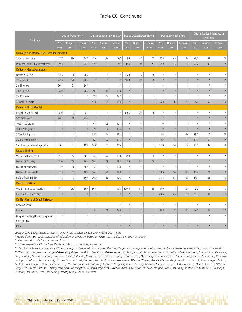|                                                     |                | Due to Prematurity |                   | Due to Congenital Anomaly |          |         | Due to Sudden Infant Death<br>Due to Obstetric Conditions<br>Due to External Injury<br>Syndrome |               |          |              |         |          |                     |          |         |  |
|-----------------------------------------------------|----------------|--------------------|-------------------|---------------------------|----------|---------|-------------------------------------------------------------------------------------------------|---------------|----------|--------------|---------|----------|---------------------|----------|---------|--|
| Attribute                                           | Per-           | Numer-             | Denomi·           | Per-                      | Numer-   | Denom-  | Per-                                                                                            | <b>Numer</b>  | Denomi-  | Per-         | Numer-  | Denomi-  | Per-                | Numer-   | Denomi- |  |
|                                                     | cent           | ator               | nator             | cent                      | ator     | inator  | cent                                                                                            | ator          | nator    | cent         | ator    | nator    | cent                | ator     | nator   |  |
| <b>Delivery: Spontaneous vs. Provider Initiated</b> |                | 194                |                   | 42.6                      | 84       | 197     | 82.5                                                                                            | 47            | 57       |              | 49      |          | 49.4                |          |         |  |
| Spontaneous Labor                                   | 72.7           | 73                 | 267               |                           |          | 197     | 17.5                                                                                            |               |          | 52.1<br>47.9 |         | 94<br>94 | 50.7                | 38<br>39 | 77      |  |
| Provider-initiated labor/delivery                   | 27.3           |                    | 267               | 57.4                      | 113      |         |                                                                                                 | 10            | 57       |              | 45      |          |                     |          | 77      |  |
| <b>Delivery: Gestational Age</b>                    |                |                    |                   | $\star$                   | $\star$  | $\star$ |                                                                                                 | 15            |          | $\star$      | $\star$ | $\star$  | $\star$             | $\star$  |         |  |
| Before 20 weeks                                     | 22.6           | 60                 | 265               | $\star$                   | $\star$  | $\star$ | 25.9                                                                                            |               | 58<br>58 | $\star$      | $\star$ | $\star$  | $\star$             | $\star$  | $\star$ |  |
| 20-23 weeks                                         | 47.6           | 126                | 265               | $\star$                   | $^\star$ | $\star$ | 50.0<br>$\star$                                                                                 | 29<br>$\star$ | $\star$  | $\star$      | $\star$ | $\star$  | $^\star$            | $\star$  | $\star$ |  |
| 24-27 weeks                                         | 20.8           | 55                 | 265               |                           |          |         | $\star$                                                                                         | $\star$       | $\star$  | $\star$      | $\star$ | $\star$  | $\star$             | $\star$  | $\star$ |  |
| 28-33 weeks                                         | 4.9<br>$\star$ | 13<br>$\star$      | 265<br>$^{\star}$ | 21.7                      | 43       | 198     | $\star$                                                                                         | $\star$       | $\star$  | $\star$      | $\star$ | $\star$  | $\star$             | $\star$  | $\star$ |  |
| 34-36 weeks                                         | $\star$        | $\star$            | $\star$           | 22.2                      | $44$     | 198     | $\star$                                                                                         | $\star$       | $\star$  |              |         |          |                     |          |         |  |
| 37 weeks or more                                    |                |                    |                   | 47.0                      | 93       | 198     |                                                                                                 |               |          | 85.3         | 81      | 95       | 81.0                | 64       | 79      |  |
| <b>Delivery: Birth Weight</b>                       |                |                    |                   |                           | $\star$  | $\star$ |                                                                                                 |               |          | $\star$      | $\star$ | $\star$  |                     | $\star$  | $\star$ |  |
| Less than 500 grams                                 | 50.0           | 112                | 224               | $\star$                   | $\star$  | $\star$ | 60.4<br>$\star$                                                                                 | 29            | 48       | $\star$      |         | $\star$  | $^\star$<br>$\star$ | $\star$  | $\star$ |  |
| 500-999 grams                                       | 40.2           | 90                 | 224               | $\star$                   |          |         |                                                                                                 | $\star$       | $\star$  |              | $\star$ |          |                     |          |         |  |
| 1000-1499 grams                                     | $\star$        | $\star$            | $\star$           | 14.4                      | 28       | 194     | $\star$                                                                                         | $\star$       | $\star$  | $\star$      | $\star$ | $\star$  | $^\star$            | $\star$  | $\star$ |  |
| 1500-1999 grams                                     | $\star$        | $\star$            | $^\star$          | 17.5                      | 34       | 194     | $\star$                                                                                         | $\star$       | $\star$  | $\star$      | $\star$ | $\star$  | $\star$             | $\star$  | $\star$ |  |
| 2000-2499 grams                                     | $^\star$       | $\star$            | $^\star$          | 22.7                      | 44       | 194     | $\star$                                                                                         | $\star$       | $\star$  | 12.8         | 12      | 94       | 13.0                | 10       | 77      |  |
| 2500 or more grams                                  | $\star$        | $\star$            | $\star$           | 37.1                      | 72       | 194     | $\star$                                                                                         | $\star$       | $\star$  | 78.7         | 74      | 94       | 80.5                | 62       | $77$    |  |
| Small for gestational age (SGA)                     | 10.7           | 11                 | 103               | 44.6                      | 83       | 186     | $\star$                                                                                         | $\star$       | ź        | 22.0         | 20      | 91       | 23.6                | 17       | 72      |  |
| <b>Death: Timing</b>                                |                |                    |                   |                           |          |         |                                                                                                 |               |          |              |         |          |                     |          |         |  |
| Within first hour of life                           | 20.1           | 54                 | 269               | 12.1                      | 24       | 198     | 32.8                                                                                            | 19            | 58       | $\star$      | $\star$ | $\star$  | $^\star$            | $\star$  | $\star$ |  |
| By end of first day                                 | 48.0           | 129                | 269               | 29.8                      | 59       | 198     | 58.6                                                                                            | 34            | 58       | $\star$      | $\star$ | $\star$  | $\star$             | $\star$  | $\star$ |  |
| By end of first week                                | 14.9           | 40                 | 269               | 16.7                      | 33       | 198     | $\star$                                                                                         | $\star$       | $\star$  | $\star$      | $\star$ | $\star$  | $^\star$            | $\star$  | $\star$ |  |
| By end of first month                               | 12.3           | 33                 | 269               | 14.7                      | 29       | 198     | $\star$                                                                                         | $\star$       | $\star$  | 10.5         | 10      | 95       | 13.9                | 11       | 79      |  |
| Before first birthday                               | 4.8            | 13                 | 269               | 26.8                      | 53       | 198     | $^\star$                                                                                        | $\star$       | $\star$  | 88.4         | 84      | 95       | 86.1                | 68       | 79      |  |
| <b>Death: Location</b>                              |                |                    |                   |                           |          |         |                                                                                                 |               |          |              |         |          |                     |          |         |  |
| Within hospital as inpatient                        | 97.4           | 262                | 269               | 86.4                      | 171      | 198     | 100.0                                                                                           | 58            | 58       | 17.9         | 17      | 95       | 12.7                | 10       | 79      |  |
| ER or outpatient setting                            | $\star$        | $\star$            | $\star$           | $\star$                   | $\star$  | $\star$ | $\star$                                                                                         | $\star$       | $\star$  | 48.4         | 46      | 95       | 51.9                | 41       | 79      |  |
| <b>Dollfus Cause of Death Category</b>              |                |                    |                   |                           |          |         |                                                                                                 |               |          |              |         |          |                     |          |         |  |
| Dead on arrival                                     | $\star$        | $\star$            | $\star$           | $\star$                   | $\star$  | $\star$ | $\star$                                                                                         | $\star$       | $\star$  | $\star$      | $\star$ | $\star$  | $^\star$            | $\star$  | $\star$ |  |
| Home                                                | $\star$        | $\star$            | $\star$           | 9.1                       | 18       | 198     | $\star$                                                                                         | $\star$       | $\star$  | 22.1         | 21      | 95       | 24.1                | 19       | 79      |  |
| Hospice/Nursing Home/Long Term<br>Care Facility     | $^\star$       | $\star$            | $\star$           | $\star$                   | $\star$  | $\star$ | $\star$                                                                                         | $\star$       | $\star$  | $^\star$     | $\star$ | $\star$  | $\star$             | $\star$  | $\star$ |  |
| Other                                               | $\star$        | $\star$            | $\star$           | $\star$                   | $\star$  | $\star$ | $\star$                                                                                         | $\star$       | $\star$  | $\star$      | $\star$ | $\star$  | $\star$             | $\star$  | $\star$ |  |

Source: Ohio Department of Health, Ohio Vital Statistics Linked Birth/Infant Death files

\* Figure does not meet standards of reliability or precision, based on fewer than 10 deaths in the numerator

\*\*Measure valid only for premature births

\*\*\*Non-Hispanic deaths include those of unknown or missing ethnicity.

\*\*\*\*An infant born in a hospital without the appropriate level of care given the infant's gestational age and/or birth weight. Denominator includes infants born in a facility. \*\*\*\*\*County designations: Large Metro= (Cuyahoga, Franklin, Hamilton), Metro= (Allen, Ashland, Ashtabula, Athens, Belmont, Butler, Clark, Clermont, Columbiana, Delaware, Erie, Fairfield, Geauga, Greene, Hancock, Huron, Jefferson, Knox, Lake, Lawrence, Licking, Lorain, Lucas, Mahoning, Marion, Medina, Miami, Montgomery, Muskingum, Pickaway, Portage, Richland, Ross, Sandusky, Scioto, Seneca, Stark, Summit, Trumbull, Tuscarawas, Union, Warren, Wayne, Wood), Micro= (Auglaize, Brown, Carroll, Champaign, Clinton, Coshocton, Crawford, Darke, Defiance, Fayette, Fulton, Gallia, Guernsey, Hardin, Henry, Highland, Hocking, Holmes, Jackson, Logan, Madison, Meigs, Mercer, Morrow, Ottawa, Perry, Pike, Preble, Putnam, Shelby, Van Wert, Washington, Williams, Wyandot), Rural= (Adams, Harrison, Monroe, Morgan, Noble, Paulding, Vinton), OEI= (Butler, Cuyahoga, Franklin, Hamilton, Lucas, Mahoning, Montgomery, Stark, Summit)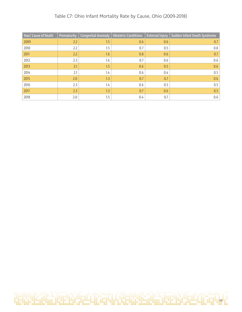## Table C7: Ohio Infant Mortality Rate by Cause, Ohio (2009-2018)

| Year/ Cause of Death | Prematurity |     | Congenital Anomaly   Obstetric Conditions | External Injury | Sudden Infant Death Syndrome |
|----------------------|-------------|-----|-------------------------------------------|-----------------|------------------------------|
| 2009                 | 2.2         | 1.5 | 0.6                                       | 0.6             | 0.7                          |
| 2010                 | 2.2         | 1.5 | 0.7                                       | 0.5             | 0.8                          |
| 2011                 | 2.2         | 1.6 | 0.8                                       | 0.6             | 0.7                          |
| 2012                 | 2.3         | 1.6 | 0.7                                       | 0.6             | 0.6                          |
| 2013                 | 2.1         | 1.5 | 0.6                                       | 0.5             | 0.6                          |
| 2014                 | 2.1         | 1.4 | 0.6                                       | 0.4             | 0.5                          |
| 2015                 | 2.0         | 1.3 | 0.7                                       | 0.7             | 0.6                          |
| 2016                 | 2.3         | 1.4 | 0.6                                       | 0.5             | 0.5                          |
| 2017                 | 2.3         | 1.3 | 0.7                                       | 0.6             | 0.5                          |
| 2018                 | 2.0         | 1.5 | 0.4                                       | 0.7             | 0.6                          |